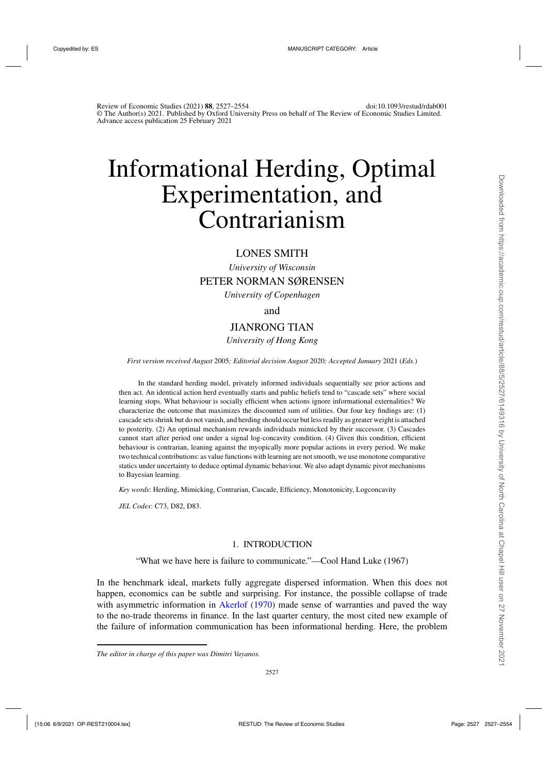# Informational Herding, Optimal Experimentation, and Contrarianism

# LONES SMITH

*University of Wisconsin*

# PETER NORMAN SØRENSEN

*University of Copenhagen*

and

# JIANRONG TIAN

# *University of Hong Kong*

*First version received August* 2005*; Editorial decision August* 2020*; Accepted January* 2021 (*Eds.*)

In the standard herding model, privately informed individuals sequentially see prior actions and then act. An identical action herd eventually starts and public beliefs tend to "cascade sets" where social learning stops. What behaviour is socially efficient when actions ignore informational externalities? We characterize the outcome that maximizes the discounted sum of utilities. Our four key findings are: (1) cascade sets shrink but do not vanish, and herding should occur but less readily as greater weight is attached to posterity. (2) An optimal mechanism rewards individuals mimicked by their successor. (3) Cascades cannot start after period one under a signal log-concavity condition. (4) Given this condition, efficient behaviour is contrarian, leaning against the myopically more popular actions in every period. We make two technical contributions: as value functions with learning are not smooth, we use monotone comparative statics under uncertainty to deduce optimal dynamic behaviour. We also adapt dynamic pivot mechanisms to Bayesian learning.

*Key words*: Herding, Mimicking, Contrarian, Cascade, Efficiency, Monotonicity, Logconcavity

*JEL Codes*: C73, D82, D83.

# 1. INTRODUCTION

"What we have here is failure to communicate."—Cool Hand Luke (1967)

In the benchmark ideal, markets fully aggregate dispersed information. When this does not happen, economics can be subtle and surprising. For instance, the possible collapse of trade with asymmetric information in [Akerlof](#page-26-0) [\(1970](#page-26-0)) made sense of warranties and paved the way to the no-trade theorems in finance. In the last quarter century, the most cited new example of the failure of information communication has been informational herding. Here, the problem

*The editor in charge of this paper was Dimitri Vayanos.*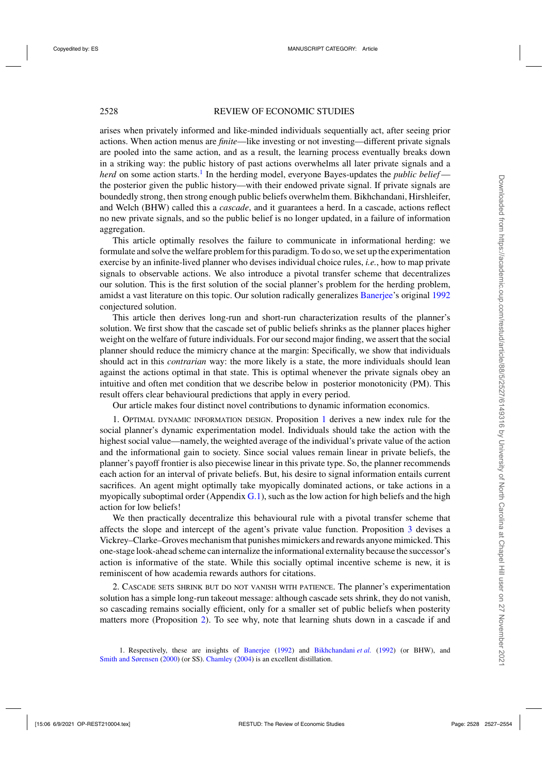arises when privately informed and like-minded individuals sequentially act, after seeing prior actions. When action menus are *finite*—like investing or not investing—different private signals are pooled into the same action, and as a result, the learning process eventually breaks down in a striking way: the public history of past actions overwhelms all later private signals and a *herd* on some action starts.<sup>1</sup> In the herding model, everyone Bayes-updates the *public belief* the posterior given the public history—with their endowed private signal. If private signals are boundedly strong, then strong enough public beliefs overwhelm them. Bikhchandani, Hirshleifer, and Welch (BHW) called this a *cascade*, and it guarantees a herd. In a cascade, actions reflect no new private signals, and so the public belief is no longer updated, in a failure of information aggregation.

This article optimally resolves the failure to communicate in informational herding: we formulate and solve the welfare problem for this paradigm. To do so, we set up the experimentation exercise by an infinite-lived planner who devises individual choice rules, *i.e.*, how to map private signals to observable actions. We also introduce a pivotal transfer scheme that decentralizes our solution. This is the first solution of the social planner's problem for the herding problem, amidst a vast literature on this topic. Our solution radically generalizes [Banerjee'](#page-26-0)s original [1992](#page-26-0) conjectured solution.

This article then derives long-run and short-run characterization results of the planner's solution. We first show that the cascade set of public beliefs shrinks as the planner places higher weight on the welfare of future individuals. For our second major finding, we assert that the social planner should reduce the mimicry chance at the margin: Specifically, we show that individuals should act in this *contrarian* way: the more likely is a state, the more individuals should lean against the actions optimal in that state. This is optimal whenever the private signals obey an intuitive and often met condition that we describe below in posterior monotonicity (PM). This result offers clear behavioural predictions that apply in every period.

Our article makes four distinct novel contributions to dynamic information economics.

1. Optimal dynamic information design. Proposition [1](#page-8-0) derives a new index rule for the social planner's dynamic experimentation model. Individuals should take the action with the highest social value—namely, the weighted average of the individual's private value of the action and the informational gain to society. Since social values remain linear in private beliefs, the planner's payoff frontier is also piecewise linear in this private type. So, the planner recommends each action for an interval of private beliefs. But, his desire to signal information entails current sacrifices. An agent might optimally take myopically dominated actions, or take actions in a myopically suboptimal order (Appendix  $G(1)$ , such as the low action for high beliefs and the high action for low beliefs!

We then practically decentralize this behavioural rule with a pivotal transfer scheme that affects the slope and intercept of the agent's private value function. Proposition [3](#page-11-0) devises a Vickrey–Clarke–Groves mechanism that punishes mimickers and rewards anyone mimicked. This one-stage look-ahead scheme can internalize the informational externality because the successor's action is informative of the state. While this socially optimal incentive scheme is new, it is reminiscent of how academia rewards authors for citations.

2. Cascade sets shrink but do not vanish with patience. The planner's experimentation solution has a simple long-run takeout message: although cascade sets shrink, they do not vanish, so cascading remains socially efficient, only for a smaller set of public beliefs when posterity matters more (Proposition [2\)](#page-10-0). To see why, note that learning shuts down in a cascade if and

<sup>1.</sup> Respectively, these are insights of [Banerjee](#page-26-0) [\(1992\)](#page-26-0) and [Bikhchandani](#page-26-0) *et al.* [\(1992](#page-26-0)) (or BHW), and [Smith and Sørensen](#page-27-0) [\(2000](#page-27-0)) (or SS). [Chamley](#page-27-0) [\(2004\)](#page-27-0) is an excellent distillation.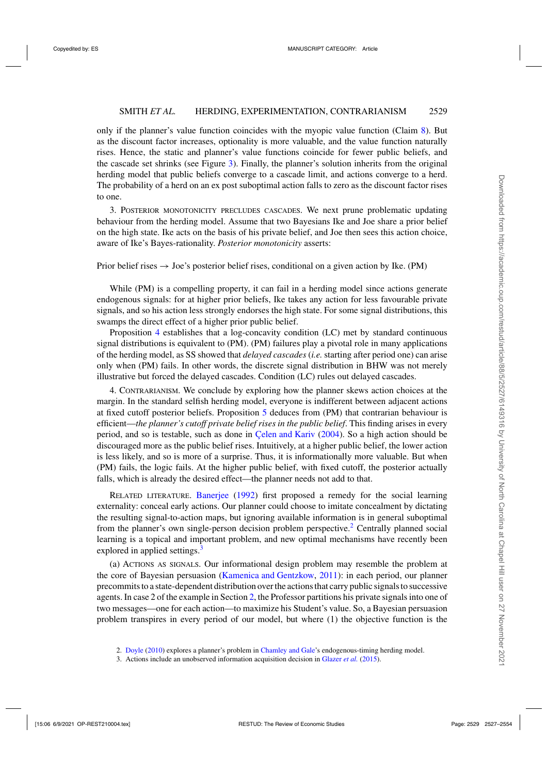only if the planner's value function coincides with the myopic value function (Claim [8\)](#page-18-0). But as the discount factor increases, optionality is more valuable, and the value function naturally rises. Hence, the static and planner's value functions coincide for fewer public beliefs, and the cascade set shrinks (see Figure [3\)](#page-9-0). Finally, the planner's solution inherits from the original herding model that public beliefs converge to a cascade limit, and actions converge to a herd. The probability of a herd on an ex post suboptimal action falls to zero as the discount factor rises to one.

3. Posterior monotonicity precludes cascades. We next prune problematic updating behaviour from the herding model. Assume that two Bayesians Ike and Joe share a prior belief on the high state. Ike acts on the basis of his private belief, and Joe then sees this action choice, aware of Ike's Bayes-rationality. *Posterior monotonicity* asserts:

Prior belief rises  $\rightarrow$  Joe's posterior belief rises, conditional on a given action by Ike. (PM)

While (PM) is a compelling property, it can fail in a herding model since actions generate endogenous signals: for at higher prior beliefs, Ike takes any action for less favourable private signals, and so his action less strongly endorses the high state. For some signal distributions, this swamps the direct effect of a higher prior public belief.

Proposition [4](#page-13-0) establishes that a log-concavity condition (LC) met by standard continuous signal distributions is equivalent to (PM). (PM) failures play a pivotal role in many applications of the herding model, as SS showed that *delayed cascades* (*i.e.* starting after period one) can arise only when (PM) fails. In other words, the discrete signal distribution in BHW was not merely illustrative but forced the delayed cascades. Condition (LC) rules out delayed cascades.

4. Contrarianism. We conclude by exploring how the planner skews action choices at the margin. In the standard selfish herding model, everyone is indifferent between adjacent actions at fixed cutoff posterior beliefs. Proposition [5](#page-14-0) deduces from (PM) that contrarian behaviour is efficient—*the planner's cutoff private belief rises in the public belief*. This finding arises in every period, and so is testable, such as done in [Çelen and Kariv](#page-26-0) [\(2004](#page-26-0)). So a high action should be discouraged more as the public belief rises. Intuitively, at a higher public belief, the lower action is less likely, and so is more of a surprise. Thus, it is informationally more valuable. But when (PM) fails, the logic fails. At the higher public belief, with fixed cutoff, the posterior actually falls, which is already the desired effect—the planner needs not add to that.

RELATED LITERATURE. [Banerjee](#page-26-0) [\(1992](#page-26-0)) first proposed a remedy for the social learning externality: conceal early actions. Our planner could choose to imitate concealment by dictating the resulting signal-to-action maps, but ignoring available information is in general suboptimal from the planner's own single-person decision problem perspective.<sup>2</sup> Centrally planned social learning is a topical and important problem, and new optimal mechanisms have recently been explored in applied settings.<sup>3</sup>

(a) Actions as signals. Our informational design problem may resemble the problem at the core of Bayesian persuasion [\(Kamenica and Gentzkow](#page-27-0), [2011\)](#page-27-0): in each period, our planner precommits to a state-dependent distribution over the actions that carry public signals to successive agents. In case 2 of the example in Section [2,](#page-3-0) the Professor partitions his private signals into one of two messages—one for each action—to maximize his Student's value. So, a Bayesian persuasion problem transpires in every period of our model, but where (1) the objective function is the

<sup>2.</sup> [Doyle](#page-27-0) [\(2010\)](#page-27-0) explores a planner's problem in [Chamley and Gale](#page-26-0)'s endogenous-timing herding model.

<sup>3.</sup> Actions include an unobserved information acquisition decision in [Glazer](#page-27-0) *et al.* [\(2015](#page-27-0)).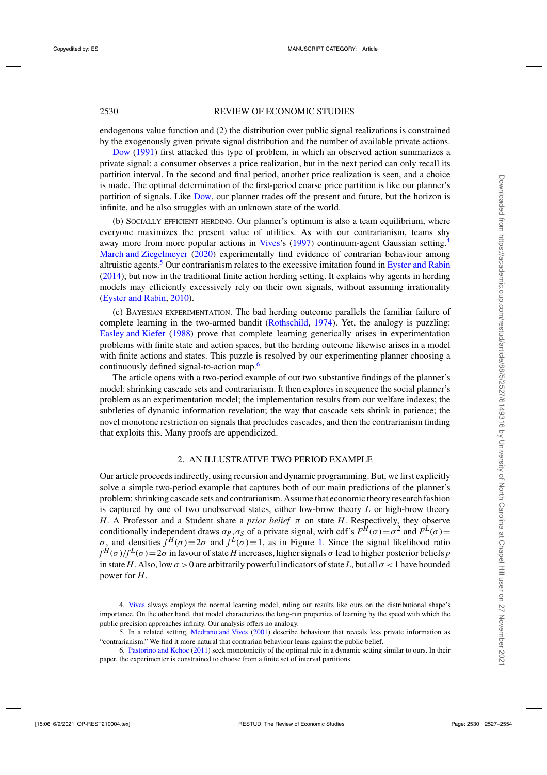<span id="page-3-0"></span>endogenous value function and (2) the distribution over public signal realizations is constrained by the exogenously given private signal distribution and the number of available private actions.

[Dow](#page-27-0) [\(1991](#page-27-0)) first attacked this type of problem, in which an observed action summarizes a private signal: a consumer observes a price realization, but in the next period can only recall its partition interval. In the second and final period, another price realization is seen, and a choice is made. The optimal determination of the first-period coarse price partition is like our planner's partition of signals. Like [Dow](#page-27-0), our planner trades off the present and future, but the horizon is infinite, and he also struggles with an unknown state of the world.

(b) Socially efficient herding. Our planner's optimum is also a team equilibrium, where everyone maximizes the present value of utilities. As with our contrarianism, teams shy away more from more popular actions in [Vives'](#page-27-0)s [\(1997](#page-27-0)) continuum-agent Gaussian setting.<sup>4</sup> [March and Ziegelmeyer](#page-27-0) [\(2020\)](#page-27-0) experimentally find evidence of contrarian behaviour among altruistic agents.<sup>5</sup> Our contrarianism relates to the excessive imitation found in [Eyster and Rabin](#page-27-0) [\(2014](#page-27-0)), but now in the traditional finite action herding setting. It explains why agents in herding models may efficiently excessively rely on their own signals, without assuming irrationality [\(Eyster and Rabin,](#page-27-0) [2010\)](#page-27-0).

(c) Bayesian experimentation. The bad herding outcome parallels the familiar failure of complete learning in the two-armed bandit [\(Rothschild](#page-27-0), [1974\)](#page-27-0). Yet, the analogy is puzzling: [Easley and Kiefer](#page-27-0) [\(1988](#page-27-0)) prove that complete learning generically arises in experimentation problems with finite state and action spaces, but the herding outcome likewise arises in a model with finite actions and states. This puzzle is resolved by our experimenting planner choosing a continuously defined signal-to-action map.<sup>6</sup>

The article opens with a two-period example of our two substantive findings of the planner's model: shrinking cascade sets and contrariarism. It then explores in sequence the social planner's problem as an experimentation model; the implementation results from our welfare indexes; the subtleties of dynamic information revelation; the way that cascade sets shrink in patience; the novel monotone restriction on signals that precludes cascades, and then the contrarianism finding that exploits this. Many proofs are appendicized.

## 2. AN ILLUSTRATIVE TWO PERIOD EXAMPLE

Our article proceeds indirectly, using recursion and dynamic programming. But, we first explicitly solve a simple two-period example that captures both of our main predictions of the planner's problem: shrinking cascade sets and contrarianism. Assume that economic theory research fashion is captured by one of two unobserved states, either low-brow theory *L* or high-brow theory *H*. A Professor and a Student share a *prior belief* π on state *H*. Respectively, they observe conditionally independent draws  $\sigma_P$ ,  $\sigma_S$  of a private signal, with cdf's  $F^{\hat{H}}(\sigma) = \sigma^2$  and  $F^L(\sigma) =$ σ, and densities  $f^H(\sigma) = 2\sigma$  and  $f^L(\sigma) = 1$ , as in Figure [1.](#page-4-0) Since the signal likelihood ratio  $f^H(\sigma)/f^L(\sigma) = 2\sigma$  in favour of state *H* increases, higher signals  $\sigma$  lead to higher posterior beliefs *p* in state *H*. Also, low  $\sigma > 0$  are arbitrarily powerful indicators of state *L*, but all  $\sigma < 1$  have bounded power for *H*.

<sup>4.</sup> [Vives](#page-27-0) always employs the normal learning model, ruling out results like ours on the distributional shape's importance. On the other hand, that model characterizes the long-run properties of learning by the speed with which the public precision approaches infinity. Our analysis offers no analogy.

<sup>5.</sup> In a related setting, [Medrano and Vives](#page-27-0) [\(2001\)](#page-27-0) describe behaviour that reveals less private information as "contrarianism." We find it more natural that contrarian behaviour leans against the public belief.

<sup>6.</sup> [Pastorino and Kehoe](#page-27-0) [\(2011\)](#page-27-0) seek monotonicity of the optimal rule in a dynamic setting similar to ours. In their paper, the experimenter is constrained to choose from a finite set of interval partitions.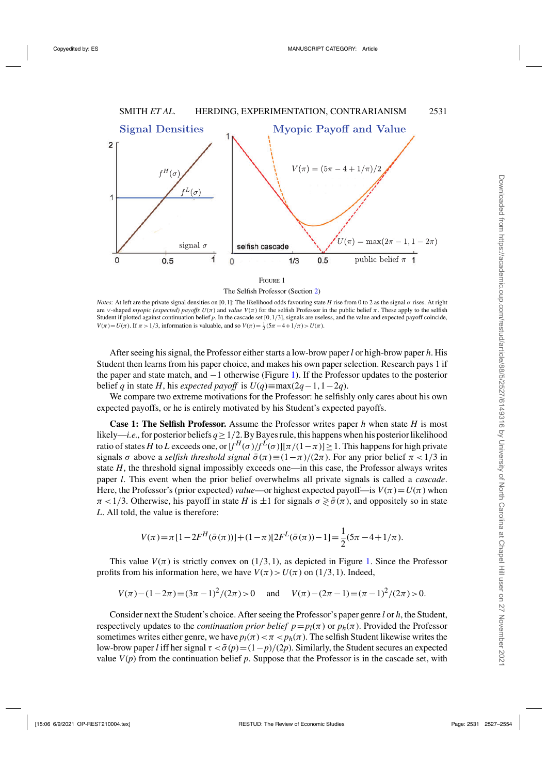<span id="page-4-0"></span>

The Selfish Professor (Section [2\)](#page-3-0)

*Notes:* At left are the private signal densities on [0,1]: The likelihood odds favouring state *H* rise from 0 to 2 as the signal σ rises. At right are  $\vee$ -shaped *myopic (expected) payoffs*  $U(\pi)$  and *value*  $V(\pi)$  for the selfish Professor in the public belief  $\pi$ . These apply to the selfish Student if plotted against continuation belief p. In the cascade set [0,1/3], signals are useless, and the value and expected payoff coincide, *V*( $\pi$ ) = *U*( $\pi$ ). If  $\pi$  > 1/3, information is valuable, and so *V*( $\pi$ ) =  $\frac{1}{2}$ (5 $\pi$  – 4 + 1/ $\pi$ ) > *U*( $\pi$ ).

After seeing his signal, the Professor either starts a low-brow paper *l* or high-brow paper *h*. His Student then learns from his paper choice, and makes his own paper selection. Research pays 1 if the paper and state match, and −1 otherwise (Figure 1). If the Professor updates to the posterior belief *q* in state *H*, his *expected payoff* is  $U(q) \equiv \max(2q-1, 1-2q)$ .

We compare two extreme motivations for the Professor: he selfishly only cares about his own expected payoffs, or he is entirely motivated by his Student's expected payoffs.

**Case 1: The Selfish Professor.** Assume the Professor writes paper *h* when state *H* is most likely—*i.e.*, for posterior beliefs  $q \ge 1/2$ . By Bayes rule, this happens when his posterior likelihood ratio of states *H* to *L* exceeds one, or  $[f^H(\sigma)/f^L(\sigma)][\pi/(1-\pi)]$  > 1. This happens for high private signals  $\sigma$  above a *selfish threshold signal*  $\bar{\sigma}(\pi) \equiv (1 - \pi)/(2\pi)$ . For any prior belief  $\pi < 1/3$  in state *H*, the threshold signal impossibly exceeds one—in this case, the Professor always writes paper *l*. This event when the prior belief overwhelms all private signals is called a *cascade*. Here, the Professor's (prior expected) *value*—or highest expected payoff—is  $V(\pi) = U(\pi)$  when  $\pi$  < 1/3. Otherwise, his payoff in state *H* is  $\pm$ 1 for signals  $\sigma \geq \bar{\sigma}(\pi)$ , and oppositely so in state *L*. All told, the value is therefore:

$$
V(\pi) = \pi [1 - 2F^{H}(\bar{\sigma}(\pi))] + (1 - \pi)[2F^{L}(\bar{\sigma}(\pi)) - 1] = \frac{1}{2}(5\pi - 4 + 1/\pi).
$$

This value  $V(\pi)$  is strictly convex on  $(1/3, 1)$ , as depicted in Figure 1. Since the Professor profits from his information here, we have  $V(\pi) > U(\pi)$  on (1/3, 1). Indeed,

$$
V(\pi) - (1 - 2\pi) = (3\pi - 1)^2 / (2\pi) > 0 \quad \text{and} \quad V(\pi) - (2\pi - 1) = (\pi - 1)^2 / (2\pi) > 0.
$$

Consider next the Student's choice. After seeing the Professor's paper genre *l* or *h*, the Student, respectively updates to the *continuation prior belief*  $p=p_l(\pi)$  or  $p_h(\pi)$ . Provided the Professor sometimes writes either genre, we have  $p_l(\pi) < \pi < p_h(\pi)$ . The selfish Student likewise writes the low-brow paper *l* iff her signal  $\tau < \bar{\sigma}(p) = (1-p)/(2p)$ . Similarly, the Student secures an expected value  $V(p)$  from the continuation belief p. Suppose that the Professor is in the cascade set, with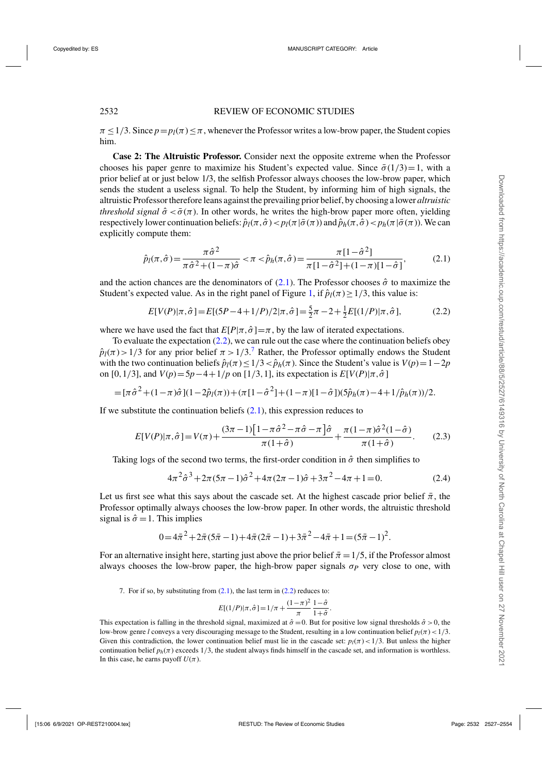<span id="page-5-0"></span> $\pi \leq 1/3$ . Since  $p = p_l(\pi) \leq \pi$ , whenever the Professor writes a low-brow paper, the Student copies him.

**Case 2: The Altruistic Professor.** Consider next the opposite extreme when the Professor chooses his paper genre to maximize his Student's expected value. Since  $\bar{\sigma}(1/3)=1$ , with a prior belief at or just below 1/3, the selfish Professor always chooses the low-brow paper, which sends the student a useless signal. To help the Student, by informing him of high signals, the altruistic Professor therefore leans against the prevailing prior belief, by choosing a lower *altruistic threshold signal*  $\hat{\sigma} < \bar{\sigma}(\pi)$ . In other words, he writes the high-brow paper more often, yielding respectively lower continuation beliefs:  $\hat{p}_l(\pi,\hat{\sigma}) < p_l(\pi|\bar{\sigma}(\pi))$  and  $\hat{p}_h(\pi,\hat{\sigma}) < p_h(\pi|\bar{\sigma}(\pi))$ . We can explicitly compute them:

$$
\hat{p}_l(\pi,\hat{\sigma}) = \frac{\pi \hat{\sigma}^2}{\pi \hat{\sigma}^2 + (1-\pi)\hat{\sigma}} < \pi < \hat{p}_h(\pi,\hat{\sigma}) = \frac{\pi [1-\hat{\sigma}^2]}{\pi [1-\hat{\sigma}^2] + (1-\pi)[1-\hat{\sigma}]},
$$
(2.1)

and the action chances are the denominators of (2.1). The Professor chooses  $\hat{\sigma}$  to maximize the Student's expected value. As in the right panel of Figure [1,](#page-4-0) if  $\hat{p}_l(\pi) \geq 1/3$ , this value is:

$$
E[V(P)|\pi,\hat{\sigma}] = E[(5P - 4 + 1/P)/2|\pi,\hat{\sigma}] = \frac{5}{2}\pi - 2 + \frac{1}{2}E[(1/P)|\pi,\hat{\sigma}],
$$
 (2.2)

where we have used the fact that  $E[P|\pi,\hat{\sigma}]=\pi$ , by the law of iterated expectations.

To evaluate the expectation  $(2.2)$ , we can rule out the case where the continuation beliefs obey  $\hat{p}_{\ell}(\pi) > 1/3$  for any prior belief  $\pi > 1/3$ .<sup>7</sup> Rather, the Professor optimally endows the Student with the two continuation beliefs  $\hat{p}_l(\pi) \leq 1/3 < \hat{p}_h(\pi)$ . Since the Student's value is  $V(p) = 1-2p$ on [0,1/3], and  $V(p) = 5p - 4 + 1/p$  on [1/3,1], its expectation is  $E[V(P)|\pi, \hat{\sigma}]$ 

$$
= [\pi \hat{\sigma}^2 + (1-\pi)\hat{\sigma}](1-2\hat{p}_l(\pi)) + (\pi [1-\hat{\sigma}^2] + (1-\pi)[1-\hat{\sigma}]) (5\hat{p}_h(\pi) - 4 + 1/\hat{p}_h(\pi))/2.
$$

If we substitute the continuation beliefs  $(2.1)$ , this expression reduces to

$$
E[V(P)|\pi,\hat{\sigma}] = V(\pi) + \frac{(3\pi - 1)\left[1 - \pi\hat{\sigma}^2 - \pi\hat{\sigma} - \pi\right]\hat{\sigma}}{\pi(1 + \hat{\sigma})} + \frac{\pi(1 - \pi)\hat{\sigma}^2(1 - \hat{\sigma})}{\pi(1 + \hat{\sigma})}.
$$
 (2.3)

Taking logs of the second two terms, the first-order condition in  $\hat{\sigma}$  then simplifies to

$$
4\pi^2 \hat{\sigma}^3 + 2\pi (5\pi - 1)\hat{\sigma}^2 + 4\pi (2\pi - 1)\hat{\sigma} + 3\pi^2 - 4\pi + 1 = 0.
$$
 (2.4)

Let us first see what this says about the cascade set. At the highest cascade prior belief  $\bar{\pi}$ , the Professor optimally always chooses the low-brow paper. In other words, the altruistic threshold signal is  $\hat{\sigma} = 1$ . This implies

$$
0 = 4\bar{\pi}^2 + 2\bar{\pi}(5\bar{\pi} - 1) + 4\bar{\pi}(2\bar{\pi} - 1) + 3\bar{\pi}^2 - 4\bar{\pi} + 1 = (5\bar{\pi} - 1)^2.
$$

For an alternative insight here, starting just above the prior belief  $\bar{\pi} = 1/5$ , if the Professor almost always chooses the low-brow paper, the high-brow paper signals  $\sigma_p$  very close to one, with

7. For if so, by substituting from  $(2.1)$ , the last term in  $(2.2)$  reduces to:

$$
E[(1/P)|\pi, \hat{\sigma}] = 1/\pi + \frac{(1-\pi)^2}{\pi} \frac{1-\hat{\sigma}}{1+\hat{\sigma}}.
$$

This expectation is falling in the threshold signal, maximized at  $\hat{\sigma} = 0$ . But for positive low signal thresholds  $\hat{\sigma} > 0$ , the low-brow genre *l* conveys a very discouraging message to the Student, resulting in a low continuation belief  $p_l(\pi) < 1/3$ . Given this contradiction, the lower continuation belief must lie in the cascade set:  $p_l(\pi) < 1/3$ . But unless the higher continuation belief  $p_h(\pi)$  exceeds 1/3, the student always finds himself in the cascade set, and information is worthless. In this case, he earns payoff  $U(\pi)$ .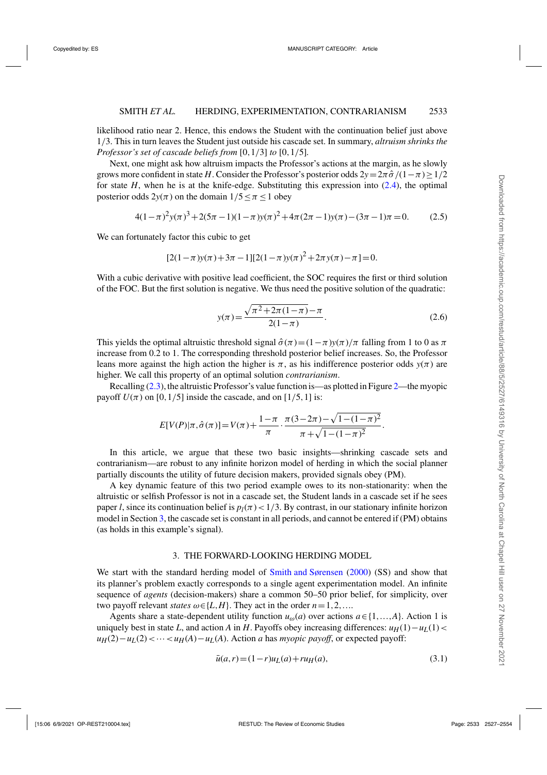<span id="page-6-0"></span>likelihood ratio near 2. Hence, this endows the Student with the continuation belief just above 1/3. This in turn leaves the Student just outside his cascade set. In summary, *altruism shrinks the Professor's set of cascade beliefs from* [0,1/3] *to* [0,1/5]*.*

Next, one might ask how altruism impacts the Professor's actions at the margin, as he slowly grows more confident in state *H*. Consider the Professor's posterior odds  $2y=2\pi \hat{\sigma}/(1-\pi)\geq 1/2$ for state  $H$ , when he is at the knife-edge. Substituting this expression into  $(2.4)$ , the optimal posterior odds  $2y(\pi)$  on the domain  $1/5 \le \pi \le 1$  obey

$$
4(1-\pi)^2 y(\pi)^3 + 2(5\pi - 1)(1-\pi)y(\pi)^2 + 4\pi(2\pi - 1)y(\pi) - (3\pi - 1)\pi = 0.
$$
 (2.5)

We can fortunately factor this cubic to get

$$
[2(1-\pi)y(\pi) + 3\pi - 1][2(1-\pi)y(\pi)^{2} + 2\pi y(\pi) - \pi] = 0.
$$

With a cubic derivative with positive lead coefficient, the SOC requires the first or third solution of the FOC. But the first solution is negative. We thus need the positive solution of the quadratic:

$$
y(\pi) = \frac{\sqrt{\pi^2 + 2\pi(1-\pi)} - \pi}{2(1-\pi)}.
$$
\n(2.6)

This yields the optimal altruistic threshold signal  $\hat{\sigma}(\pi)=(1-\pi)y(\pi)/\pi$  falling from 1 to 0 as  $\pi$ increase from 0.2 to 1. The corresponding threshold posterior belief increases. So, the Professor leans more against the high action the higher is  $\pi$ , as his indifference posterior odds  $y(\pi)$  are higher. We call this property of an optimal solution *contrarianism*.

Recalling [\(2.3\)](#page-5-0), the altruistic Professor's value function is—as plotted in Figure [2—](#page-7-0)the myopic payoff  $U(\pi)$  on [0, 1/5] inside the cascade, and on [1/5, 1] is:

$$
E[V(P)|\pi, \hat{\sigma}(\pi)] = V(\pi) + \frac{1-\pi}{\pi} \cdot \frac{\pi(3-2\pi) - \sqrt{1-(1-\pi)^2}}{\pi + \sqrt{1-(1-\pi)^2}}.
$$

In this article, we argue that these two basic insights—shrinking cascade sets and contrarianism—are robust to any infinite horizon model of herding in which the social planner partially discounts the utility of future decision makers, provided signals obey (PM).

A key dynamic feature of this two period example owes to its non-stationarity: when the altruistic or selfish Professor is not in a cascade set, the Student lands in a cascade set if he sees paper *l*, since its continuation belief is  $p_l(\pi) < 1/3$ . By contrast, in our stationary infinite horizon model in Section 3, the cascade set is constant in all periods, and cannot be entered if (PM) obtains (as holds in this example's signal).

## 3. THE FORWARD-LOOKING HERDING MODEL

We start with the standard herding model of [Smith and Sørensen](#page-27-0) [\(2000](#page-27-0)) (SS) and show that its planner's problem exactly corresponds to a single agent experimentation model. An infinite sequence of *agents* (decision-makers) share a common 50–50 prior belief, for simplicity, over two payoff relevant *states*  $\omega \in \{L, H\}$ . They act in the order  $n = 1, 2, \ldots$ 

Agents share a state-dependent utility function  $u_{\omega}(a)$  over actions  $a \in \{1, ..., A\}$ . Action 1 is uniquely best in state *L*, and action *A* in *H*. Payoffs obey increasing differences:  $u_H(1) - u_L(1)$  <  $u_H(2) - u_L(2) \lt \cdots \lt u_H(A) - u_L(A)$ . Action *a* has *myopic payoff*, or expected payoff:

$$
\bar{u}(a,r) = (1-r)u_L(a) + ru_H(a),\tag{3.1}
$$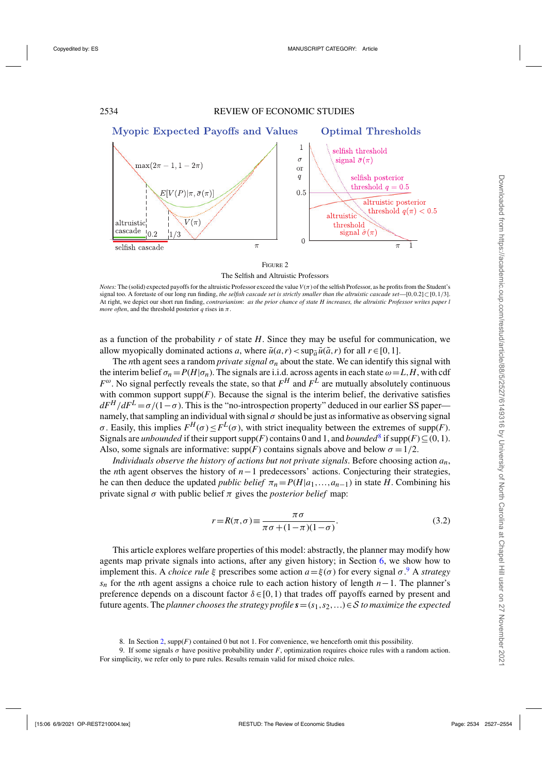<span id="page-7-0"></span>

Figure 2 The Selfish and Altruistic Professors

*Notes:* The (solid) expected payoffs for the altruistic Professor exceed the value  $V(\pi)$  of the selfish Professor, as he profits from the Student's signal too. A foretaste of our long run finding, *the selfish cascade set is strictly smaller than the altruistic cascade set*—[0,0.2]⊂[0,1/3]. At right, we depict our short run finding, *contrarianism*: *as the prior chance of state H increases, the altruistic Professor writes paper l more often*, and the threshold posterior *q* rises in  $\pi$ .

as a function of the probability *r* of state *H*. Since they may be useful for communication, we allow myopically dominated actions *a*, where  $\bar{u}(a,r) < \sup_{\tilde{a}} \bar{u}(\tilde{a},r)$  for all  $r \in [0,1]$ .

The *n*th agent sees a random *private signal*  $\sigma_n$  about the state. We can identify this signal with the interim belief  $\sigma_n = P(H|\sigma_n)$ . The signals are i.i.d. across agents in each state  $\omega = L, H$ , with cdf  $F^{\omega}$ . No signal perfectly reveals the state, so that  $F^H$  and  $F^L$  are mutually absolutely continuous with common support supp $(F)$ . Because the signal is the interim belief, the derivative satisfies  $dF^H/dF^L = \sigma/(1-\sigma)$ . This is the "no-introspection property" deduced in our earlier SS paper namely, that sampling an individual with signal  $\sigma$  should be just as informative as observing signal  $\sigma$ . Easily, this implies  $F^H(\sigma) \leq F^L(\sigma)$ , with strict inequality between the extremes of supp(*F*). Signals are *unbounded* if their support supp(*F*) contains 0 and 1, and *bounded*<sup>8</sup> if supp(*F*) ⊆(0,1). Also, some signals are informative:  $supp(F)$  contains signals above and below  $\sigma = 1/2$ .

*Individuals observe the history of actions but not private signals*. Before choosing action *an*, the *n*th agent observes the history of *n*−1 predecessors' actions. Conjecturing their strategies, he can then deduce the updated *public belief*  $\pi_n = P(H|a_1, \ldots, a_{n-1})$  in state *H*. Combining his private signal  $\sigma$  with public belief  $\pi$  gives the *posterior belief* map:

$$
r = R(\pi, \sigma) \equiv \frac{\pi \sigma}{\pi \sigma + (1 - \pi)(1 - \sigma)}.
$$
\n(3.2)

This article explores welfare properties of this model: abstractly, the planner may modify how agents map private signals into actions, after any given history; in Section [6,](#page-10-0) we show how to implement this. A *choice rule*  $\xi$  prescribes some action  $a = \xi(\sigma)$  for every signal  $\sigma$ . A *strategy sn* for the *n*th agent assigns a choice rule to each action history of length *n*−1. The planner's preference depends on a discount factor  $\delta \in [0,1)$  that trades off payoffs earned by present and future agents. The *planner chooses the strategy profile*  $s = (s_1, s_2, ...) \in S$  *to maximize the expected* 

<sup>8.</sup> In Section [2,](#page-3-0) supp(*F*) contained 0 but not 1. For convenience, we henceforth omit this possibility.

<sup>9.</sup> If some signals  $\sigma$  have positive probability under *F*, optimization requires choice rules with a random action. For simplicity, we refer only to pure rules. Results remain valid for mixed choice rules.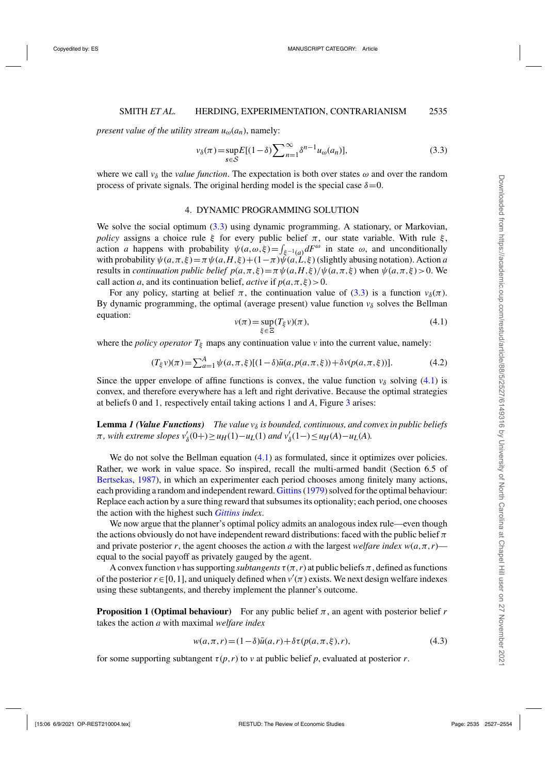<span id="page-8-0"></span>*present value of the utility stream*  $u_{\omega}(a_n)$ , namely:

$$
\nu_{\delta}(\pi) = \sup_{s \in S} E[(1-\delta) \sum_{n=1}^{\infty} \delta^{n-1} u_{\omega}(a_n)], \tag{3.3}
$$

where we call  $v_{\delta}$  the *value function*. The expectation is both over states  $\omega$  and over the random process of private signals. The original herding model is the special case  $\delta = 0$ .

#### 4. DYNAMIC PROGRAMMING SOLUTION

We solve the social optimum (3.3) using dynamic programming. A stationary, or Markovian, *policy* assigns a choice rule ξ for every public belief  $\pi$ , our state variable. With rule ξ, action *a* happens with probability  $\psi(a,\omega,\xi) = \int_{\xi^{-1}(a)} dF^{\omega}$  in state  $\omega$ , and unconditionally with probability  $\psi(a,\pi,\xi) = \pi \psi(a,H,\xi) + (1-\pi)\psi(a,\tilde{L},\xi)$  (slightly abusing notation). Action *a* results in *continuation public belief*  $p(a, \pi, \xi) = \pi \psi(a, H, \xi) / \psi(a, \pi, \xi)$  when  $\psi(a, \pi, \xi) > 0$ . We call action *a*, and its continuation belief, *active* if  $p(a, \pi, \xi) > 0$ .

For any policy, starting at belief  $\pi$ , the continuation value of (3.3) is a function  $v_\delta(\pi)$ . By dynamic programming, the optimal (average present) value function  $v_{\delta}$  solves the Bellman equation:

$$
v(\pi) = \sup_{\xi \in \Xi} (T_{\xi} v)(\pi),\tag{4.1}
$$

where the *policy operator*  $T_{\xi}$  maps any continuation value *v* into the current value, namely:

$$
(T_{\xi}\nu)(\pi) = \sum_{a=1}^{A} \psi(a,\pi,\xi)[(1-\delta)\bar{u}(a,p(a,\pi,\xi)) + \delta\nu(p(a,\pi,\xi))].
$$
 (4.2)

Since the upper envelope of affine functions is convex, the value function  $v_{\delta}$  solving (4.1) is convex, and therefore everywhere has a left and right derivative. Because the optimal strategies at beliefs 0 and 1, respectively entail taking actions 1 and *A*, Figure [3](#page-9-0) arises:

**Lemma** *1* (Value Functions) The value  $v_{\delta}$  is bounded, continuous, and convex in public beliefs  $\pi$ , with extreme slopes  $v'_{\delta}(0+) \ge u_H(1) - u_L(1)$  and  $v'_{\delta}(1-) \le u_H(A) - u_L(A)$ .

We do not solve the Bellman equation  $(4.1)$  as formulated, since it optimizes over policies. Rather, we work in value space. So inspired, recall the multi-armed bandit (Section 6.5 of [Bertsekas](#page-26-0), [1987\)](#page-26-0), in which an experimenter each period chooses among finitely many actions, each providing a random and independent reward. [Gittins\(1979](#page-27-0)) solved for the optimal behaviour: Replace each action by a sure thing reward that subsumes its optionality; each period, one chooses the action with the highest such *[Gittins](#page-27-0) index*.

We now argue that the planner's optimal policy admits an analogous index rule—even though the actions obviously do not have independent reward distributions: faced with the public belief  $\pi$ and private posterior *r*, the agent chooses the action *a* with the largest *welfare index*  $w(a, \pi, r)$  equal to the social payoff as privately gauged by the agent.

A convex function *v* has supporting *subtangents*  $\tau(\pi, r)$  at public beliefs  $\pi$ , defined as functions of the posterior  $r \in [0, 1]$ , and uniquely defined when  $v'(\pi)$  exists. We next design welfare indexes using these subtangents, and thereby implement the planner's outcome.

**Proposition 1 (Optimal behaviour)** For any public belief  $\pi$ , an agent with posterior belief r takes the action *a* with maximal *welfare index*

$$
w(a, \pi, r) = (1 - \delta)\bar{u}(a, r) + \delta\tau(p(a, \pi, \xi), r),
$$
\n(4.3)

for some supporting subtangent  $\tau(p,r)$  to *v* at public belief p, evaluated at posterior r.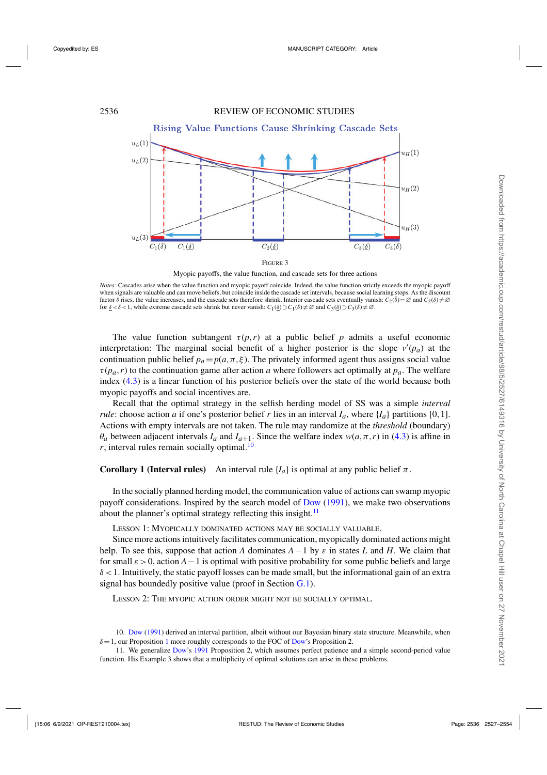<span id="page-9-0"></span>

Myopic payoffs, the value function, and cascade sets for three actions

*Notes:* Cascades arise when the value function and myopic payoff coincide. Indeed, the value function strictly exceeds the myopic payoff when signals are valuable and can move beliefs, but coincide inside the cascade set intervals, because social learning stops. As the discount factor  $\delta$  rises, the value increases, and the cascade sets therefore shrink. Interior cascade sets eventually vanish:  $C_2(\bar{\delta}) = \emptyset$  and  $C_2(\delta) \neq \emptyset$ for  $\delta < \bar{\delta} < 1$ , while extreme cascade sets shrink but never vanish:  $C_1(\delta) \supset C_1(\bar{\delta}) \neq \emptyset$  and  $C_3(\delta) \supset C_3(\bar{\delta}) \neq \emptyset$ .

The value function subtangent  $\tau(p,r)$  at a public belief p admits a useful economic interpretation: The marginal social benefit of a higher posterior is the slope  $v'(p_a)$  at the continuation public belief  $p_a = p(a, \pi, \xi)$ . The privately informed agent thus assigns social value  $\tau(p_a, r)$  to the continuation game after action *a* where followers act optimally at  $p_a$ . The welfare index [\(4.3\)](#page-8-0) is a linear function of his posterior beliefs over the state of the world because both myopic payoffs and social incentives are.

Recall that the optimal strategy in the selfish herding model of SS was a simple *interval rule*: choose action *a* if one's posterior belief *r* lies in an interval  $I_a$ , where  $\{I_a\}$  partitions [0,1]. Actions with empty intervals are not taken. The rule may randomize at the *threshold* (boundary)  $\theta_a$  between adjacent intervals  $I_a$  and  $I_{a+1}$ . Since the welfare index  $w(a, \pi, r)$  in [\(4.3\)](#page-8-0) is affine in  $r$ , interval rules remain socially optimal.<sup>10</sup>

**Corollary 1 (Interval rules)** An interval rule  ${I_a}$  is optimal at any public belief  $\pi$ .

In the socially planned herding model, the communication value of actions can swamp myopic payoff considerations. Inspired by the search model of [Dow](#page-27-0) [\(1991](#page-27-0)), we make two observations about the planner's optimal strategy reflecting this insight.<sup>11</sup>

Lesson 1: Myopically dominated actions may be socially valuable.

Since more actions intuitively facilitates communication, myopically dominated actions might help. To see this, suppose that action *A* dominates  $A-1$  by  $\varepsilon$  in states *L* and *H*. We claim that for small  $\varepsilon > 0$ , action  $A - 1$  is optimal with positive probability for some public beliefs and large  $\delta$  < 1. Intuitively, the static payoff losses can be made small, but the informational gain of an extra signal has boundedly positive value (proof in Section [G.1\)](#page-25-0).

Lesson 2: The myopic action order might not be socially optimal.

<sup>10.</sup> [Dow](#page-27-0) [\(1991\)](#page-27-0) derived an interval partition, albeit without our Bayesian binary state structure. Meanwhile, when  $\delta = 1$  $\delta = 1$ , our Proposition 1 more roughly corresponds to the FOC of [Dow'](#page-27-0)s Proposition 2.

<sup>11.</sup> We generalize [Dow](#page-27-0)'s [1991](#page-27-0) Proposition 2, which assumes perfect patience and a simple second-period value function. His Example 3 shows that a multiplicity of optimal solutions can arise in these problems.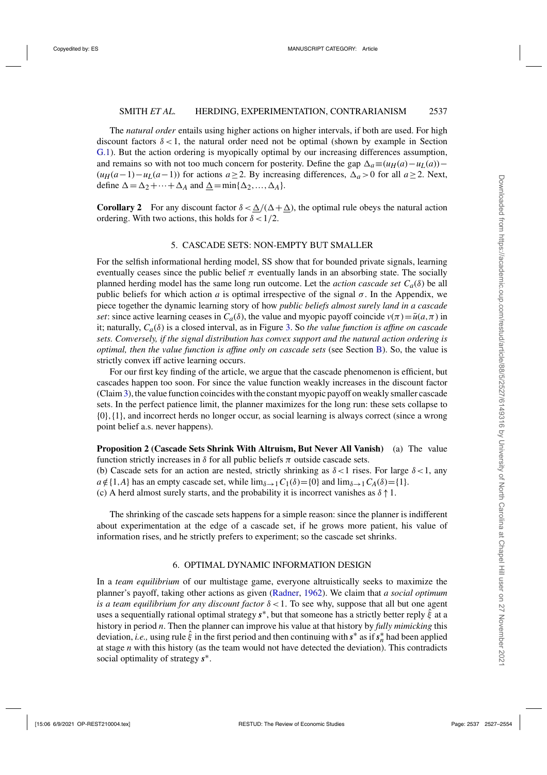<span id="page-10-0"></span>The *natural order* entails using higher actions on higher intervals, if both are used. For high discount factors  $\delta$  < 1, the natural order need not be optimal (shown by example in Section [G.1\)](#page-25-0). But the action ordering is myopically optimal by our increasing differences assumption, and remains so with not too much concern for posterity. Define the gap  $\Delta_a \equiv (u_H(a) - u_L(a)) (u_H(a-1) - u_L(a-1))$  for actions  $a \ge 2$ . By increasing differences,  $\Delta_a > 0$  for all  $a \ge 2$ . Next, define  $\Delta = \Delta_2 + \cdots + \Delta_A$  and  $\underline{\Delta} = \min{\{\Delta_2, ..., \Delta_A\}}$ .

**Corollary 2** For any discount factor  $\delta < \Delta/(\Delta + \Delta)$ , the optimal rule obeys the natural action ordering. With two actions, this holds for  $\delta < 1/2$ .

#### 5. CASCADE SETS: NON-EMPTY BUT SMALLER

For the selfish informational herding model, SS show that for bounded private signals, learning eventually ceases since the public belief  $\pi$  eventually lands in an absorbing state. The socially planned herding model has the same long run outcome. Let the *action cascade set Ca*(δ) be all public beliefs for which action *a* is optimal irrespective of the signal  $\sigma$ . In the Appendix, we piece together the dynamic learning story of how *public beliefs almost surely land in a cascade set*: since active learning ceases in  $C_a(\delta)$ , the value and myopic payoff coincide  $v(\pi) = \bar{u}(a, \pi)$  in it; naturally, *Ca*(δ) is a closed interval, as in Figure [3.](#page-9-0) So *the value function is affine on cascade sets. Conversely, if the signal distribution has convex support and the natural action ordering is optimal, then the value function is affine only on cascade sets* (see Section [B\)](#page-17-0). So, the value is strictly convex iff active learning occurs.

For our first key finding of the article, we argue that the cascade phenomenon is efficient, but cascades happen too soon. For since the value function weakly increases in the discount factor (Claim[3\)](#page-16-0), the value function coincides with the constant myopic payoff on weakly smaller cascade sets. In the perfect patience limit, the planner maximizes for the long run: these sets collapse to {0},{1}, and incorrect herds no longer occur, as social learning is always correct (since a wrong point belief a.s. never happens).

**Proposition 2 (Cascade Sets Shrink With Altruism, But Never All Vanish)** (a) The value function strictly increases in  $\delta$  for all public beliefs  $\pi$  outside cascade sets.

(b) Cascade sets for an action are nested, strictly shrinking as  $\delta < 1$  rises. For large  $\delta < 1$ , any  $a \notin \{1, A\}$  has an empty cascade set, while  $\lim_{\delta \to 1} C_1(\delta) = \{0\}$  and  $\lim_{\delta \to 1} C_A(\delta) = \{1\}.$ 

(c) A herd almost surely starts, and the probability it is incorrect vanishes as  $\delta \uparrow 1$ .

The shrinking of the cascade sets happens for a simple reason: since the planner is indifferent about experimentation at the edge of a cascade set, if he grows more patient, his value of information rises, and he strictly prefers to experiment; so the cascade set shrinks.

#### 6. OPTIMAL DYNAMIC INFORMATION DESIGN

In a *team equilibrium* of our multistage game, everyone altruistically seeks to maximize the planner's payoff, taking other actions as given [\(Radner,](#page-27-0) [1962\)](#page-27-0). We claim that *a social optimum is a team equilibrium for any discount factor* δ <1. To see why, suppose that all but one agent uses a sequentially rational optimal strategy  $s^*$ , but that someone has a strictly better reply  $\hat{\xi}$  at a history in period *n*. Then the planner can improve his value at that history by *fully mimicking* this deviation, *i.e.*, using rule  $\hat{\xi}$  in the first period and then continuing with  $s^*$  as if  $s_n^*$  had been applied at stage *n* with this history (as the team would not have detected the deviation). This contradicts social optimality of strategy *s*∗.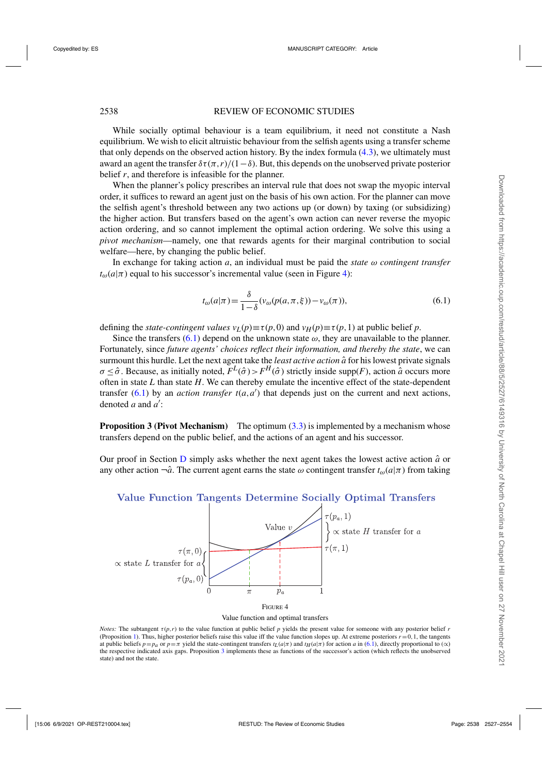<span id="page-11-0"></span>While socially optimal behaviour is a team equilibrium, it need not constitute a Nash equilibrium. We wish to elicit altruistic behaviour from the selfish agents using a transfer scheme that only depends on the observed action history. By the index formula  $(4.3)$ , we ultimately must award an agent the transfer  $\delta \tau(\pi, r)/(1-\delta)$ . But, this depends on the unobserved private posterior belief *r*, and therefore is infeasible for the planner.

When the planner's policy prescribes an interval rule that does not swap the myopic interval order, it suffices to reward an agent just on the basis of his own action. For the planner can move the selfish agent's threshold between any two actions up (or down) by taxing (or subsidizing) the higher action. But transfers based on the agent's own action can never reverse the myopic action ordering, and so cannot implement the optimal action ordering. We solve this using a *pivot mechanism*—namely, one that rewards agents for their marginal contribution to social welfare—here, by changing the public belief.

In exchange for taking action  $a$ , an individual must be paid the *state*  $\omega$  *contingent transfer*  $t_{\omega}(a|\pi)$  equal to his successor's incremental value (seen in Figure 4):

$$
t_{\omega}(a|\pi) = \frac{\delta}{1-\delta}(v_{\omega}(p(a,\pi,\xi)) - v_{\omega}(\pi)),
$$
\n(6.1)

defining the *state-contingent values*  $v_L(p) \equiv \tau(p,0)$  and  $v_H(p) \equiv \tau(p,1)$  at public belief *p*.

Since the transfers (6.1) depend on the unknown state  $\omega$ , they are unavailable to the planner. Fortunately, since *future agents' choices reflect their information, and thereby the state*, we can surmount this hurdle. Let the next agent take the *least active action*  $\hat{a}$  for his lowest private signals  $σ < δ$ . Because, as initially noted,  $F^L(σ) > F^H(σ)$  strictly inside supp(*F*), action *a*̂ occurs more often in state *L* than state *H*. We can thereby emulate the incentive effect of the state-dependent transfer  $(6.1)$  by an *action transfer*  $t(a,a')$  that depends just on the current and next actions, denoted *a* and *a* :

**Proposition 3 (Pivot Mechanism)** The optimum [\(3.3\)](#page-8-0) is implemented by a mechanism whose transfers depend on the public belief, and the actions of an agent and his successor.

Our proof in Section  $\overline{D}$  $\overline{D}$  $\overline{D}$  simply asks whether the next agent takes the lowest active action  $\hat{a}$  or any other action  $\neg \hat{a}$ . The current agent earns the state  $\omega$  contingent transfer  $t_{\omega}(a|\pi)$  from taking



# Value Function Tangents Determine Socially Optimal Transfers



*Notes:* The subtangent  $\tau(p,r)$  to the value function at public belief *p* yields the present value for someone with any posterior belief *r* (Proposition [1\)](#page-8-0). Thus, higher posterior beliefs raise this value iff the value function slopes up. At extreme posteriors  $r = 0, 1$ , the tangents at public beliefs  $p = p_a$  or  $p = \pi$  yield the state-contingent transfers  $t_l(a|\pi)$  and  $t_H(a|\pi)$  for action *a* in (6.1), directly proportional to (∝) the respective indicated axis gaps. Proposition 3 implements these as functions of the successor's action (which reflects the unobserved state) and not the state.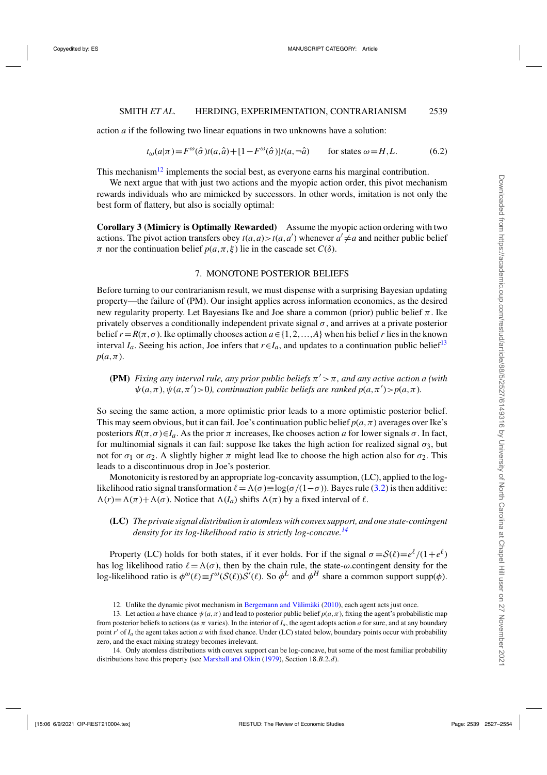<span id="page-12-0"></span>action *a* if the following two linear equations in two unknowns have a solution:

$$
t_{\omega}(a|\pi) = F^{\omega}(\hat{\sigma})t(a,\hat{a}) + [1 - F^{\omega}(\hat{\sigma})]t(a,-\hat{a}) \quad \text{for states } \omega = H, L.
$$
 (6.2)

This mechanism<sup>12</sup> implements the social best, as everyone earns his marginal contribution.

We next argue that with just two actions and the myopic action order, this pivot mechanism rewards individuals who are mimicked by successors. In other words, imitation is not only the best form of flattery, but also is socially optimal:

**Corollary 3 (Mimicry is Optimally Rewarded)** Assume the myopic action ordering with two actions. The pivot action transfers obey  $t(a,a) > t(a,a')$  whenever  $a' \neq a$  and neither public belief π nor the continuation belief  $p(a, π, ξ)$  lie in the cascade set  $C(δ)$ .

#### 7. MONOTONE POSTERIOR BELIEFS

Before turning to our contrarianism result, we must dispense with a surprising Bayesian updating property—the failure of (PM). Our insight applies across information economics, as the desired new regularity property. Let Bayesians Ike and Joe share a common (prior) public belief  $\pi$ . Ike privately observes a conditionally independent private signal  $\sigma$ , and arrives at a private posterior belief  $r = R(\pi, \sigma)$ . Ike optimally chooses action  $a \in \{1, 2, ..., A\}$  when his belief r lies in the known interval  $I_a$ . Seeing his action, Joe infers that  $r \in I_a$ , and updates to a continuation public belief<sup>13</sup>  $p(a,\pi)$ .

**(PM)** *Fixing any interval rule, any prior public beliefs*  $\pi' > \pi$ *, and any active action a (with*  $\psi(a,\pi), \psi(a,\pi') > 0$ , continuation public beliefs are ranked  $p(a,\pi') > p(a,\pi)$ .

So seeing the same action, a more optimistic prior leads to a more optimistic posterior belief. This may seem obvious, but it can fail. Joe's continuation public belief  $p(a, \pi)$  averages over Ike's posteriors  $R(\pi, \sigma) \in I_a$ . As the prior  $\pi$  increases, Ike chooses action *a* for lower signals  $\sigma$ . In fact, for multinomial signals it can fail: suppose Ike takes the high action for realized signal  $\sigma_3$ , but not for  $\sigma_1$  or  $\sigma_2$ . A slightly higher  $\pi$  might lead Ike to choose the high action also for  $\sigma_2$ . This leads to a discontinuous drop in Joe's posterior.

Monotonicity is restored by an appropriate log-concavity assumption, (LC), applied to the loglikelihood ratio signal transformation  $\ell = \Lambda(\sigma) \equiv \log(\sigma/(1-\sigma))$ . Bayes rule [\(3.2\)](#page-7-0) is then additive:  $\Lambda(r) = \Lambda(\pi) + \Lambda(\sigma)$ . Notice that  $\Lambda(I_a)$  shifts  $\Lambda(\pi)$  by a fixed interval of  $\ell$ .

**(LC)** *The private signal distribution is atomless with convex support, and one state-contingent density for its log-likelihood ratio is strictly log-concave.<sup>14</sup>*

Property (LC) holds for both states, if it ever holds. For if the signal  $\sigma = \mathcal{S}(\ell) = e^{\ell}/(1+e^{\ell})$ has log likelihood ratio  $\ell = \Lambda(\sigma)$ , then by the chain rule, the state- $\omega$ .contingent density for the log-likelihood ratio is  $\phi^{\omega}(\ell) \equiv f^{\omega}(S(\ell))S'(\ell)$ . So  $\phi^L$  and  $\phi^H$  share a common support supp( $\phi$ ).

<sup>12.</sup> Unlike the dynamic pivot mechanism in [Bergemann and Välimäki](#page-26-0) [\(2010\)](#page-26-0), each agent acts just once.

<sup>13.</sup> Let action *a* have chance  $\psi(a,\pi)$  and lead to posterior public belief  $p(a,\pi)$ , fixing the agent's probabilistic map from posterior beliefs to actions (as  $\pi$  varies). In the interior of  $I_a$ , the agent adopts action *a* for sure, and at any boundary point *r'* of *I<sub>a</sub>* the agent takes action *a* with fixed chance. Under (LC) stated below, boundary points occur with probability zero, and the exact mixing strategy becomes irrelevant.

<sup>14.</sup> Only atomless distributions with convex support can be log-concave, but some of the most familiar probability distributions have this property (see [Marshall and Olkin](#page-27-0) [\(1979\)](#page-27-0), Section 18.*B*.2.*d*).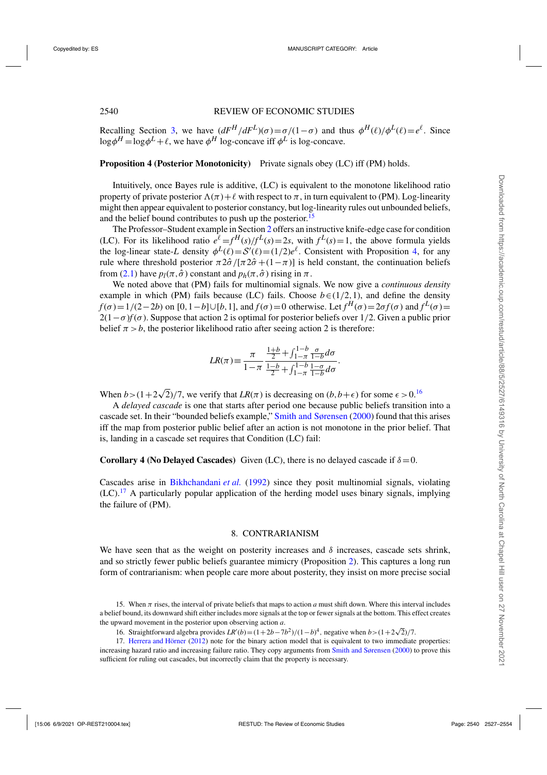<span id="page-13-0"></span>Recalling Section [3,](#page-6-0) we have  $(dF^H/dF^L)(\sigma) = \sigma/(1-\sigma)$  and thus  $\phi^H(\ell)/\phi^L(\ell) = e^{\ell}$ . Since  $\log \phi^H = \log \phi^L + \ell$ , we have  $\phi^H$  log-concave iff  $\phi^L$  is log-concave.

# **Proposition 4 (Posterior Monotonicity)** Private signals obey (LC) iff (PM) holds.

Intuitively, once Bayes rule is additive, (LC) is equivalent to the monotone likelihood ratio property of private posterior  $\Lambda(\pi) + \ell$  with respect to  $\pi$ , in turn equivalent to (PM). Log-linearity might then appear equivalent to posterior constancy, but log-linearity rules out unbounded beliefs, and the belief bound contributes to push up the posterior.<sup>15</sup>

The Professor–Student example in Section [2](#page-3-0) offers an instructive knife-edge case for condition (LC). For its likelihood ratio  $e^{\ell} = f^H(s)/f^L(s) = 2s$ , with  $f^L(s) = 1$ , the above formula yields the log-linear state-*L* density  $\phi^L(\ell) = S'(\ell) = (1/2)e^{\ell}$ . Consistent with Proposition 4, for any rule where threshold posterior  $\pi 2\hat{\sigma}/[\pi 2\hat{\sigma} + (1-\pi)]$  is held constant, the continuation beliefs from [\(2.1\)](#page-5-0) have  $p_l(\pi, \hat{\sigma})$  constant and  $p_h(\pi, \hat{\sigma})$  rising in  $\pi$ .

We noted above that (PM) fails for multinomial signals. We now give a *continuous density* example in which (PM) fails because (LC) fails. Choose  $b \in (1/2,1)$ , and define the density  $f(\sigma) = 1/(2-2b)$  on  $[0, 1-b] \cup [b, 1]$ , and  $f(\sigma) = 0$  otherwise. Let  $f^H(\sigma) = 2\sigma f(\sigma)$  and  $f^L(\sigma) =$  $2(1-\sigma) f(\sigma)$ . Suppose that action 2 is optimal for posterior beliefs over 1/2. Given a public prior belief  $\pi > b$ , the posterior likelihood ratio after seeing action 2 is therefore:

$$
LR(\pi)\!\equiv\!\frac{\pi}{1\!-\!\pi}\frac{\frac{1\!+\!b}{2}\!+\!\int_{1-\pi}^{1\!-\!b}\frac{\sigma}{1\!-\!b}d\sigma}{\frac{1\!-\!b}{2}\!+\!\int_{1-\pi}^{1\!-\!b}\frac{1\!-\!\sigma}{1\!-\!b}d\sigma}.
$$

When  $b > (1 + 2\sqrt{2})/7$ , we verify that  $LR(\pi)$  is decreasing on  $(b, b + \epsilon)$  for some  $\epsilon > 0$ .<sup>16</sup>

A *delayed cascade* is one that starts after period one because public beliefs transition into a cascade set. In their "bounded beliefs example," [Smith and Sørensen](#page-27-0) [\(2000\)](#page-27-0) found that this arises iff the map from posterior public belief after an action is not monotone in the prior belief. That is, landing in a cascade set requires that Condition (LC) fail:

# **Corollary 4 (No Delayed Cascades)** Given (LC), there is no delayed cascade if  $\delta = 0$ .

Cascades arise in [Bikhchandani](#page-26-0) *et al.* [\(1992](#page-26-0)) since they posit multinomial signals, violating  $(LC)$ .<sup>17</sup> A particularly popular application of the herding model uses binary signals, implying the failure of (PM).

# 8. CONTRARIANISM

We have seen that as the weight on posterity increases and  $\delta$  increases, cascade sets shrink, and so strictly fewer public beliefs guarantee mimicry (Proposition [2\)](#page-10-0). This captures a long run form of contrarianism: when people care more about posterity, they insist on more precise social

<sup>15.</sup> When  $\pi$  rises, the interval of private beliefs that maps to action *a* must shift down. Where this interval includes a belief bound, its downward shift either includes more signals at the top or fewer signals at the bottom. This effect creates the upward movement in the posterior upon observing action *a*.

*n* straightforward algebra provides *LR*<sup> $\prime$ </sup>(*b*)=(1+2*b*−7*b*<sup>2</sup>)/(1−*b*)<sup>4</sup>, negative when *b*>(1+2 $\sqrt{2}$ )/7.

<sup>17.</sup> [Herrera and Hörner](#page-27-0) [\(2012\)](#page-27-0) note for the binary action model that is equivalent to two immediate properties: increasing hazard ratio and increasing failure ratio. They copy arguments from [Smith and Sørensen](#page-27-0) [\(2000\)](#page-27-0) to prove this sufficient for ruling out cascades, but incorrectly claim that the property is necessary.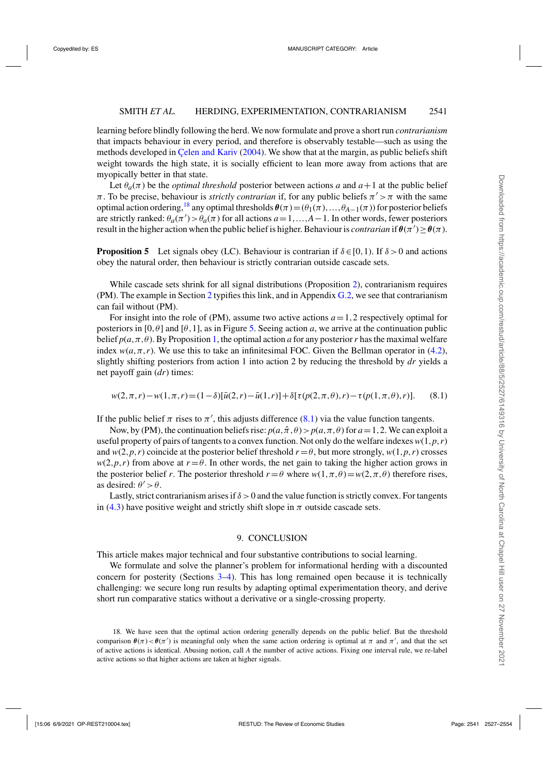<span id="page-14-0"></span>learning before blindly following the herd. We now formulate and prove a short run *contrarianism* that impacts behaviour in every period, and therefore is observably testable—such as using the methods developed in [Çelen and Kariv](#page-26-0) [\(2004](#page-26-0)). We show that at the margin, as public beliefs shift weight towards the high state, it is socially efficient to lean more away from actions that are myopically better in that state.

Let  $\theta_a(\pi)$  be the *optimal threshold* posterior between actions *a* and  $a+1$  at the public belief  $\pi$ . To be precise, behaviour is *strictly contrarian* if, for any public beliefs  $\pi' > \pi$  with the same optimal action ordering,<sup>18</sup> any optimal thresholds  $\theta(\pi)=(\theta_1(\pi),...,\theta_{A-1}(\pi))$  for posterior beliefs are strictly ranked:  $\theta_a(\pi') > \theta_a(\pi)$  for all actions  $a = 1, ..., A-1$ . In other words, fewer posteriors result in the higher action when the public belief is higher. Behaviour is *contrarian* if  $\theta(\pi') \geq \theta(\pi)$ .

**Proposition 5** Let signals obey (LC). Behaviour is contrarian if  $\delta \in [0,1)$ . If  $\delta > 0$  and actions obey the natural order, then behaviour is strictly contrarian outside cascade sets.

While cascade sets shrink for all signal distributions (Proposition [2\)](#page-10-0), contrarianism requires (PM). The example in Section [2](#page-3-0) typifies this link, and in Appendix [G.2,](#page-25-0) we see that contrarianism can fail without (PM).

For insight into the role of (PM), assume two active actions *a*=1,2 respectively optimal for posteriors in  $[0, \theta]$  and  $[\theta, 1]$ , as in Figure [5.](#page-15-0) Seeing action *a*, we arrive at the continuation public belief  $p(a, \pi, \theta)$ . By Proposition [1,](#page-8-0) the optimal action *a* for any posterior *r* has the maximal welfare index  $w(a, \pi, r)$ . We use this to take an infinitesimal FOC. Given the Bellman operator in [\(4.2\)](#page-8-0), slightly shifting posteriors from action 1 into action 2 by reducing the threshold by *dr* yields a net payoff gain (*dr*) times:

$$
w(2, \pi, r) - w(1, \pi, r) = (1 - \delta)[\bar{u}(2, r) - \bar{u}(1, r)] + \delta[\tau(p(2, \pi, \theta), r) - \tau(p(1, \pi, \theta), r)].
$$
 (8.1)

If the public belief  $\pi$  rises to  $\pi'$ , this adjusts difference (8.1) via the value function tangents.

Now, by (PM), the continuation beliefs rise:  $p(a, \hat{\pi}, \theta) > p(a, \pi, \theta)$  for  $a = 1, 2$ . We can exploit a useful property of pairs of tangents to a convex function. Not only do the welfare indexes  $w(1, p, r)$ and  $w(2, p, r)$  coincide at the posterior belief threshold  $r = \theta$ , but more strongly,  $w(1, p, r)$  crosses  $w(2, p, r)$  from above at  $r = \theta$ . In other words, the net gain to taking the higher action grows in the posterior belief *r*. The posterior threshold  $r = \theta$  where  $w(1, \pi, \theta) = w(2, \pi, \theta)$  therefore rises, as desired:  $\theta' > \theta$ .

Lastly, strict contrarianism arises if  $\delta > 0$  and the value function is strictly convex. For tangents in [\(4.3\)](#page-8-0) have positive weight and strictly shift slope in  $\pi$  outside cascade sets.

#### 9. CONCLUSION

This article makes major technical and four substantive contributions to social learning.

We formulate and solve the planner's problem for informational herding with a discounted concern for posterity (Sections [3–](#page-6-0)[4\)](#page-8-0). This has long remained open because it is technically challenging: we secure long run results by adapting optimal experimentation theory, and derive short run comparative statics without a derivative or a single-crossing property.

18. We have seen that the optimal action ordering generally depends on the public belief. But the threshold comparison  $\theta(\pi) < \theta(\pi')$  is meaningful only when the same action ordering is optimal at  $\pi$  and  $\pi'$ , and that the set of active actions is identical. Abusing notion, call *A* the number of active actions. Fixing one interval rule, we re-label active actions so that higher actions are taken at higher signals.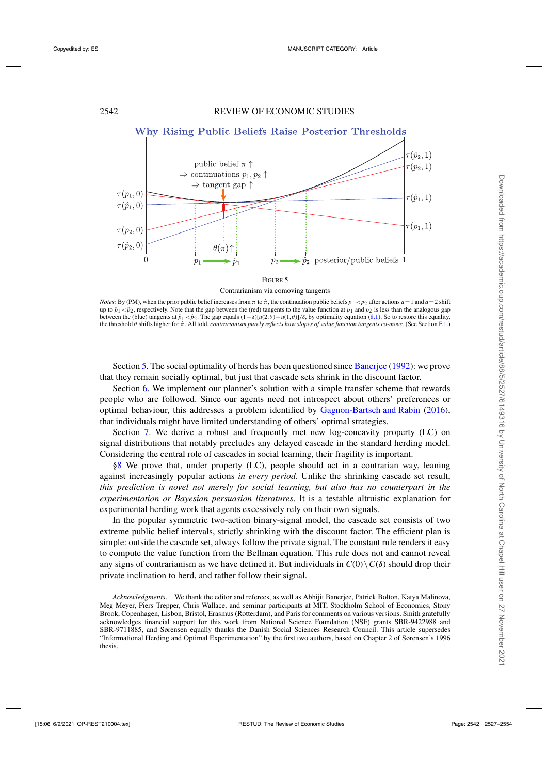<span id="page-15-0"></span>

#### Contrarianism via comoving tangents

*Notes:* By (PM), when the prior public belief increases from  $\pi$  to  $\hat{\pi}$ , the continuation public beliefs  $p_1 < p_2$  after actions  $a = 1$  and  $a = 2$  shift up to  $\hat{p}_1 < \hat{p}_2$ , respectively. Note that the gap between the (red) tangents to the value function at  $p_1$  and  $p_2$  is less than the analogous gap between the (blue) tangents at  $\hat{p}_1 < \hat{p}_2$ . The gap equals  $(1 - \delta)[u(2, \theta) - u(1, \theta)]/\delta$ , by optimality equation [\(8.1\)](#page-14-0). So to restore this equality, the threshold *θ* shifts higher for  $\hat{\pi}$ . All told, *contrarianism purely reflects how slopes of value function tangents co-move*. (See Section [F.1.](#page-23-0))

Section [5.](#page-10-0) The social optimality of herds has been questioned since [Banerjee](#page-26-0) [\(1992](#page-26-0)): we prove that they remain socially optimal, but just that cascade sets shrink in the discount factor.

Section [6.](#page-10-0) We implement our planner's solution with a simple transfer scheme that rewards people who are followed. Since our agents need not introspect about others' preferences or optimal behaviour, this addresses a problem identified by [Gagnon-Bartsch and Rabin](#page-27-0) [\(2016](#page-27-0)), that individuals might have limited understanding of others' optimal strategies.

Section [7.](#page-12-0) We derive a robust and frequently met new log-concavity property (LC) on signal distributions that notably precludes any delayed cascade in the standard herding model. Considering the central role of cascades in social learning, their fragility is important.

[§8](#page-13-0) We prove that, under property (LC), people should act in a contrarian way, leaning against increasingly popular actions *in every period*. Unlike the shrinking cascade set result, *this prediction is novel not merely for social learning, but also has no counterpart in the experimentation or Bayesian persuasion literatures*. It is a testable altruistic explanation for experimental herding work that agents excessively rely on their own signals.

In the popular symmetric two-action binary-signal model, the cascade set consists of two extreme public belief intervals, strictly shrinking with the discount factor. The efficient plan is simple: outside the cascade set, always follow the private signal. The constant rule renders it easy to compute the value function from the Bellman equation. This rule does not and cannot reveal any signs of contrarianism as we have defined it. But individuals in  $C(0) \setminus C(\delta)$  should drop their private inclination to herd, and rather follow their signal.

*Acknowledgments*. We thank the editor and referees, as well as Abhijit Banerjee, Patrick Bolton, Katya Malinova, Meg Meyer, Piers Trepper, Chris Wallace, and seminar participants at MIT, Stockholm School of Economics, Stony Brook, Copenhagen, Lisbon, Bristol, Erasmus (Rotterdam), and Paris for comments on various versions. Smith gratefully acknowledges financial support for this work from National Science Foundation (NSF) grants SBR-9422988 and SBR-9711885, and Sørensen equally thanks the Danish Social Sciences Research Council. This article supersedes "Informational Herding and Optimal Experimentation" by the first two authors, based on Chapter 2 of Sørensen's 1996 thesis.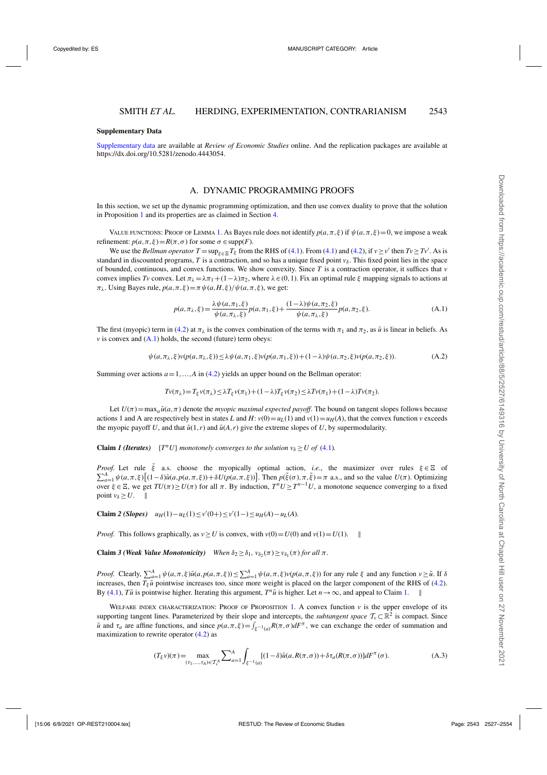#### <span id="page-16-0"></span>**Supplementary Data**

[Supplementary data](https://academic.oup.com/restud/article-lookup/doi/10.1093/restud/rdab001#supplementary-data) are available at *Review of Economic Studies* online. And the replication packages are available at https://dx.doi.org/10.5281/zenodo.4443054.

#### A. DYNAMIC PROGRAMMING PROOFS

In this section, we set up the dynamic programming optimization, and then use convex duality to prove that the solution in Proposition [1](#page-8-0) and its properties are as claimed in Section [4.](#page-8-0)

VALUE FUNCTIONS: PROOF OF LEMMA [1](#page-8-0). As Bayes rule does not identify  $p(a, \pi, \xi)$  if  $\psi(a, \pi, \xi) = 0$ , we impose a weak refinement:  $p(a, \pi, \xi) = R(\pi, \sigma)$  for some  $\sigma \in \text{supp}(F)$ .

We use the *Bellman operator*  $T = \sup_{\xi \in \Xi} T_{\xi}$  from the RHS of [\(4.1\)](#page-8-0). From (4.1) and [\(4.2\)](#page-8-0), if  $v \ge v'$  then  $Tv \ge Tv'$ . As is standard in discounted programs, *T* is a contraction, and so has a unique fixed point  $v_{\delta}$ . This fixed point lies in the space of bounded, continuous, and convex functions. We show convexity. Since *T* is a contraction operator, it suffices that *v* convex implies *Tv* convex. Let  $\pi_{\lambda} = \lambda \pi_1 + (1 - \lambda)\pi_2$ , where  $\lambda \in (0, 1)$ . Fix an optimal rule  $\xi$  mapping signals to actions at  $\pi_{\lambda}$ . Using Bayes rule,  $p(a, \pi, \xi) = \pi \psi(a, H, \xi) / \psi(a, \pi, \xi)$ , we get:

$$
p(a,\pi_{\lambda},\xi) = \frac{\lambda \psi(a,\pi_1,\xi)}{\psi(a,\pi_{\lambda},\xi)} p(a,\pi_1,\xi) + \frac{(1-\lambda)\psi(a,\pi_2,\xi)}{\psi(a,\pi_{\lambda},\xi)} p(a,\pi_2,\xi). \tag{A.1}
$$

The first (myopic) term in [\(4.2\)](#page-8-0) at  $\pi_{\lambda}$  is the convex combination of the terms with  $\pi_1$  and  $\pi_2$ , as  $\bar{u}$  is linear in beliefs. As  $\nu$  is convex and  $(A.1)$  holds, the second (future) term obeys:

$$
\psi(a,\pi_{\lambda},\xi)v(p(a,\pi_{\lambda},\xi)) \leq \lambda \psi(a,\pi_1,\xi)v(p(a,\pi_1,\xi)) + (1-\lambda)\psi(a,\pi_2,\xi)v(p(a,\pi_2,\xi)).
$$
\n(A.2)

Summing over actions  $a=1,...,A$  in [\(4.2\)](#page-8-0) yields an upper bound on the Bellman operator:

$$
Tv(\pi_{\lambda})=T_{\xi}v(\pi_{\lambda})\leq\lambda T_{\xi}v(\pi_1)+(1-\lambda)T_{\xi}v(\pi_2)\leq\lambda Tv(\pi_1)+(1-\lambda)Tv(\pi_2).
$$

Let  $U(\pi) = \max_{a} \bar{u}(a, \pi)$  denote the *myopic maximal expected payoff*. The bound on tangent slopes follows because actions 1 and A are respectively best in states *L* and *H*:  $v(0) = u<sub>L</sub>(1)$  and  $v(1) = u<sub>H</sub>(A)$ , that the convex function *v* exceeds the myopic payoff *U*, and that  $\bar{u}(1,r)$  and  $\bar{u}(A,r)$  give the extreme slopes of *U*, by supermodularity.

**Claim** *I* (*Iterates*) { $T^n U$ } *monotonely converges to the solution v<sub>* $\delta$ *</sub> > <i>U of* [\(4.1\)](#page-8-0)*.* 

*Proof.* Let rule  $\tilde{\xi}$  a.s. choose the myopically optimal action, *i.e.*, the maximizer over rules  $\xi \in \Xi$  of  $\nabla^A$   $\psi(a \pi \xi)[(1-\delta)\bar{u}(a \pi \xi)) + \delta U(n(a \pi \xi))$  Then  $p(\tilde{\xi}(\alpha) \pi \tilde{\xi}) = \pi$  a.s. and so the value  $U(\pi)$  Opt  $\sum_{a=1}^{A} \psi(a,\pi,\xi) \left[ (1-\delta) \bar{u}(a,p(a,\pi,\xi)) + \delta U(p(a,\pi,\xi)) \right]$ . Then  $p(\tilde{\xi}(\sigma), \pi, \tilde{\xi}) = \pi$  a.s., and so the value  $U(\pi)$ . Optimizing over ξ ∈ Ξ, we get  $TU(π) ≥ U(π)$  for all π. By induction,  $T^n U ≥ T^{n-1} U$ , a monotone sequence converging to a fixed point  $v_\delta \geq U$ . ||

**Claim** 2 (Slopes)  $u_H(1) - u_L(1) ≤ v'(0+) ≤ v'(1−) ≤ u_H(A) - u_L(A)$ .

*Proof.* This follows graphically, as  $v > U$  is convex, with  $v(0) = U(0)$  and  $v(1) = U(1)$ .

**Claim** *3* (Weak Value Monotonicity) When  $\delta_2 \geq \delta_1$ ,  $v_{\delta_2}(\pi) \geq v_{\delta_1}(\pi)$  *for all*  $\pi$ *.* 

*Proof.* Clearly,  $\sum_{a=1}^{A} \psi(a, \pi, \xi) \bar{u}(a, p(a, \pi, \xi)) \le \sum_{a=1}^{A} \psi(a, \pi, \xi) v(p(a, \pi, \xi))$  for any rule  $\xi$  and any function  $v \ge \tilde{u}$ . If  $\delta$ increases, then  $T_{\varepsilon}$ *u*<sup>T</sup> pointwise increases too, since more weight is placed on the larger component of the RHS of [\(4.2\)](#page-8-0). By [\(4.1\)](#page-8-0), *Tu*<sup> $u$ </sup> is pointwise higher. Iterating this argument,  $T^n\tilde{u}$  is higher. Let  $n \to \infty$ , and appeal to Claim 1.

WELFARE INDEX CHARACTERIZATION: PROOF OF PROPOSITION [1](#page-8-0). A convex function  $\nu$  is the upper envelope of its supporting tangent lines. Parameterized by their slope and intercepts, the *subtangent space*  $\mathcal{T}_v \subset \mathbb{R}^2$  is compact. Since  $\bar{u}$  and  $\tau_a$  are affine functions, and since  $p(a,\pi,\xi) = \int_{\xi^{-1}(a)} R(\pi,\sigma) dF^\pi$ , we can exchange the order of summation and maximization to rewrite operator [\(4.2\)](#page-8-0) as

$$
(T_{\xi}\nu)(\pi) = \max_{(\tau_1,\ldots,\tau_A)\in\mathcal{T}_{\nu}^A} \sum_{a=1}^A \int_{\xi^{-1}(a)} [(1-\delta)\bar{u}(a,R(\pi,\sigma)) + \delta\tau_a(R(\pi,\sigma))]dF^{\pi}(\sigma). \tag{A.3}
$$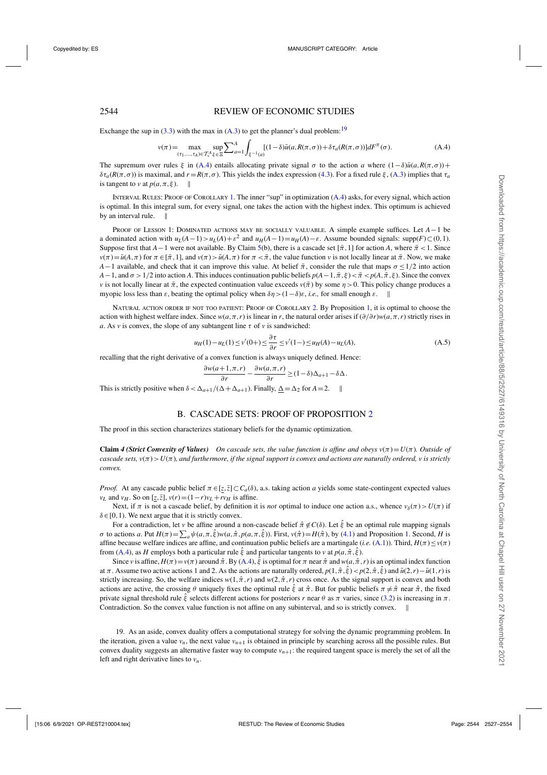## <span id="page-17-0"></span>2544 REVIEW OF ECONOMIC STUDIES

Exchange the sup in  $(3.3)$  with the max in  $(A.3)$  to get the planner's dual problem:<sup>19</sup>

$$
v(\pi) = \max_{(\tau_1, \dots, \tau_A) \in \mathcal{T}_v^A} \sup_{\xi \in \Xi} \sum_{a=1}^A \int_{\xi^{-1}(a)} [(1-\delta)\bar{u}(a, R(\pi, \sigma)) + \delta \tau_a(R(\pi, \sigma))] dF^{\pi}(\sigma). \tag{A.4}
$$

The supremum over rules  $\xi$  in (A.4) entails allocating private signal  $\sigma$  to the action *a* where  $(1-\delta)\bar{u}(a, R(\pi, \sigma))$ +  $\delta\tau_a(R(\pi,\sigma))$  is maximal, and  $r = R(\pi,\sigma)$ . This yields the index expression [\(4.3\)](#page-8-0). For a fixed rule  $\xi$ , [\(A.3\)](#page-16-0) implies that  $\tau_a$ is tangent to *v* at  $p(a, \pi, \xi)$ .

INTERVAL RULES: PROOF OF COROLLARY [1](#page-9-0). The inner "sup" in optimization  $(A,4)$  asks, for every signal, which action is optimal. In this integral sum, for every signal, one takes the action with the highest index. This optimum is achieved by an interval rule.

Proof of Lesson 1: Dominated actions may be socially valuable. A simple example suffices. Let *A*−1 be a dominated action with  $u_L(A-1) > u_L(A) + \varepsilon^2$  and  $u_H(A-1) = u_H(A) - \varepsilon$ . Assume bounded signals: supp( $F \subset (0,1)$ . Suppose first that *A*−1 were not available. By Claim 5(b), there is a cascade set [ $\pi$ , 1] for action *A*, where  $\pi$  < 1. Since  $v(\pi) = \bar{u}(A,\pi)$  for  $\pi \in [\bar{\pi},1]$ , and  $v(\pi) > \bar{u}(A,\pi)$  for  $\pi < \bar{\pi}$ , the value function *v* is not locally linear at  $\bar{\pi}$ . Now, we make *A*−1 available, and check that it can improve this value. At belief  $\bar{\pi}$ , consider the rule that maps  $\sigma \le 1/2$  into action *A*−1, and  $\sigma$  >1/2 into action *A*. This induces continuation public beliefs  $p(A-1,\bar{\pi},\xi) < \bar{\pi} < p(A,\bar{\pi},\xi)$ . Since the convex *v* is not locally linear at  $\bar{\pi}$ , the expected continuation value exceeds  $v(\bar{\pi})$  by some  $\eta > 0$ . This policy change produces a myopic loss less than  $\varepsilon$ , beating the optimal policy when  $\delta \eta > (1-\delta)\varepsilon$ , *i.e.*, for small enough  $\varepsilon$ .

Natural action order if not too patient: Proof of Corollary [2.](#page-10-0) By Proposition [1,](#page-8-0) it is optimal to choose the action with highest welfare index. Since  $w(a,\pi,r)$  is linear in *r*, the natural order arises if  $(\partial/\partial r)w(a,\pi,r)$  strictly rises in *a*. As *v* is convex, the slope of any subtangent line  $\tau$  of *v* is sandwiched:

$$
u_H(1) - u_L(1) \le v'(0+) \le \frac{\partial \tau}{\partial r} \le v'(1-) \le u_H(A) - u_L(A),\tag{A.5}
$$

recalling that the right derivative of a convex function is always uniquely defined. Hence:

$$
\frac{\partial w(a+1,\pi,r)}{\partial r}-\frac{\partial w(a,\pi,r)}{\partial r}\geq (1-\delta)\Delta_{a+1}-\delta \Delta.
$$

This is strictly positive when  $\delta < \Delta_{a+1}/(\Delta + \Delta_{a+1})$ . Finally,  $\Delta = \Delta_2$  for  $A = 2$ .

## B. CASCADE SETS: PROOF OF PROPOSITION [2](#page-10-0)

The proof in this section characterizes stationary beliefs for the dynamic optimization.

**Claim 4 (Strict Convexity of Values)** On cascade sets, the value function is affine and obeys  $v(\pi) = U(\pi)$ . Outside of *cascade sets,*  $v(\pi) > U(\pi)$ *, and furthermore, if the signal support is convex and actions are naturally ordered, v is strictly convex.*

*Proof.* At any cascade public belief  $\pi \in [z, \overline{z}] \subset C_a(\delta)$ , a.s. taking action *a* yields some state-contingent expected values *v*<sub>L</sub> and *v*<sub>H</sub>. So on [*z*, $\overline{z}$ ],  $v(r) = (1 - r)v_L + rv_H$  is affine.

Next, if  $\pi$  is not a cascade belief, by definition it is *not* optimal to induce one action a.s., whence  $v_\delta(\pi) > U(\pi)$  if  $\delta \in [0,1)$ . We next argue that it is strictly convex.

For a contradiction, let *v* be affine around a non-cascade belief  $\hat{\pi} \notin C(\delta)$ . Let  $\hat{\xi}$  be an optimal rule mapping signals *σ* to actions *a*. Put  $H(\pi) = \sum_{a} \psi(a, \pi, \hat{\xi}) w(a, \hat{\pi}, p(a, \pi, \hat{\xi}))$ . First,  $v(\hat{\pi}) = H(\hat{\pi})$ , by [\(4.1\)](#page-8-0) and Proposition [1.](#page-8-0) Second, *H* is affine because welfare indices are affine, and continuation public beliefs are a martingale (*i.e.* [\(A.1\)](#page-16-0)). Third,  $H(\pi) \leq v(\pi)$ from (A.4), as *H* employs both a particular rule  $\hat{\xi}$  and particular tangents to *v* at  $p(a, \hat{\pi}, \hat{\xi})$ .

Since *v* is affine,  $H(\pi) = v(\pi)$  around  $\hat{\pi}$ . By  $(A.4)$ ,  $\hat{\xi}$  is optimal for  $\pi$  near  $\hat{\pi}$  and  $w(a, \hat{\pi}, r)$  is an optimal index function at  $\pi$ . Assume two active actions 1 and 2. As the actions are naturally ordered,  $p(1, \hat{\pi}, \hat{\xi}) < p(2, \hat{\pi}, \hat{\xi})$  and  $\bar{u}(2, r) - \bar{u}(1, r)$  is strictly increasing. So, the welfare indices  $w(1, \hat{\pi}, r)$  and  $w(2, \hat{\pi}, r)$  cross once. As the signal support is convex and both actions are active, the crossing  $\theta$  uniquely fixes the optimal rule  $\hat{\xi}$  at  $\hat{\pi}$ . But for public beliefs  $\pi \neq \hat{\pi}$  near  $\hat{\pi}$ , the fixed private signal threshold rule  $\xi$  selects different actions for posteriors *r* near  $\theta$  as  $\pi$  varies, since [\(3.2\)](#page-7-0) is increasing in  $\pi$ . Contradiction. So the convex value function is not affine on any subinterval, and so is strictly convex.

19. As an aside, convex duality offers a computational strategy for solving the dynamic programming problem. In the iteration, given a value  $v_n$ , the next value  $v_{n+1}$  is obtained in principle by searching across all the possible rules. But convex duality suggests an alternative faster way to compute  $v_{n+1}$ : the required tangent space is merely the set of all the left and right derivative lines to *vn*.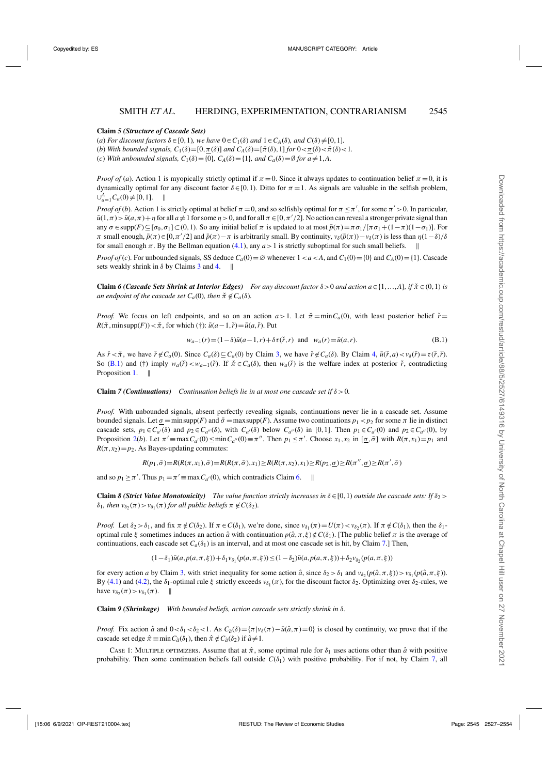#### <span id="page-18-0"></span>**Claim** *5 (Structure of Cascade Sets)*

(*a*) *For discount factors*  $\delta \in [0, 1)$ *, we have*  $0 \in C_1(\delta)$  *and*  $1 \in C_A(\delta)$ *, and*  $C(\delta) \neq [0, 1]$ *.* 

(*b*) *With bounded signals,*  $C_1(\delta) = [0, \pi(\delta)]$  *and*  $C_A(\delta) = [\pi(\delta), 1]$  *for*  $0 < \pi(\delta) < \pi(\delta) < 1$ .

(*c*) *With unbounded signals,*  $C_1(\delta) = \{0\}$ ,  $C_A(\delta) = \{1\}$ *, and*  $C_a(\delta) = \emptyset$  *for*  $a \neq 1, A$ *.* 

*Proof of (a)*. Action 1 is myopically strictly optimal if  $\pi = 0$ . Since it always updates to continuation belief  $\pi = 0$ , it is dynamically optimal for any discount factor  $\delta \in [0,1)$ . Ditto for  $\pi = 1$ . As signals are valuable in the selfish problem,  $\bigcup_{a=1}^{A} C_a(0) \neq [0,1].$  ||

*Proof of (b)*. Action 1 is strictly optimal at belief  $\pi = 0$ , and so selfishly optimal for  $\pi \leq \pi'$ , for some  $\pi' > 0$ . In particular,  $\bar{u}(1,\pi) > \bar{u}(a,\pi) + \eta$  for all  $a \neq 1$  for some  $\eta > 0$ , and for all  $\pi \in [0,\pi'/2]$ . No action can reveal a stronger private signal than any  $\sigma \in \text{supp}(F) \subseteq [\sigma_0, \sigma_1] \subset (0,1)$ . So any initial belief  $\pi$  is updated to at most  $\bar{p}(\pi) = \pi \sigma_1 / [\pi \sigma_1 + (1 - \pi)(1 - \sigma_1)]$ . For  $\pi$  small enough,  $\bar{p}(\pi) \in [0, \pi'/2]$  and  $\bar{p}(\pi) - \pi$  is arbitrarily small. By continuity,  $v_{\delta}(\bar{p}(\pi)) - v_{\delta}(\pi)$  is less than  $\eta(1-\delta)/\delta$ for small enough  $\pi$ . By the Bellman equation [\(4.1\)](#page-8-0), any  $a > 1$  is strictly suboptimal for such small beliefs.

*Proof of* (*c*). For unbounded signals, SS deduce  $C_a(0) = \emptyset$  whenever  $1 < a < A$ , and  $C_1(0) = \{0\}$  and  $C_A(0) = \{1\}$ . Cascade sets weakly shrink in  $\delta$  by Claims [3](#page-16-0) and [4.](#page-17-0) ||

**Claim** *6 (Cascade Sets Shrink at Interior Edges) For any discount factor*  $\delta > 0$  *and action*  $a \in \{1, ..., A\}$ *, if*  $\check{\pi} \in (0,1)$  *is an endpoint of the cascade set*  $C_a(0)$ *, then*  $\check{\pi} \notin C_a(\delta)$ *.* 

*Proof.* We focus on left endpoints, and so on an action  $a > 1$ . Let  $\check{\pi} = \min C_a(0)$ , with least posterior belief  $\check{r} =$  $R(\tilde{\pi}, \text{minsupp}(F)) < \tilde{\pi}$ , for which (†):  $\bar{u}(a-1, \tilde{r}) = \bar{u}(a, \tilde{r})$ . Put

$$
w_{a-1}(r) = (1 - \delta)\bar{u}(a-1,r) + \delta\tau(\check{r},r) \text{ and } w_a(r) = \bar{u}(a,r). \tag{B.1}
$$

As  $\check{r} \leq \check{\tau}$ , we have  $\check{r} \notin C_a(0)$ . Since  $C_a(\delta) \subseteq C_a(0)$  by Claim [3,](#page-16-0) we have  $\check{r} \notin C_a(\delta)$ . By Claim [4,](#page-17-0)  $\bar{u}(\check{r}, a) \lt v_\delta(\check{r}) = \tau(\check{r}, \check{r})$ . So (B.1) and (†) imply  $w_a(\tilde{r}) < w_{a-1}(\tilde{r})$ . If  $\tilde{\pi} \in C_a(\delta)$ , then  $w_a(\tilde{r})$  is the welfare index at posterior  $\tilde{r}$ , contradicting Proposition [1.](#page-8-0) ||

**Claim** *7 (Continuations) Continuation beliefs lie in at most one cascade set if*  $\delta > 0$ *.* 

*Proof.* With unbounded signals, absent perfectly revealing signals, continuations never lie in a cascade set. Assume bounded signals. Let  $\sigma = \min \text{supp}(F)$  and  $\bar{\sigma} = \max \text{supp}(F)$ . Assume two continuations  $p_1 < p_2$  for some  $\pi$  lie in distinct cascade sets,  $p_1 \in C_{a'}(\delta)$  and  $p_2 \in C_{a''}(\delta)$ , with  $C_{a'}(\delta)$  below  $C_{a''}(\delta)$  in [0,1]. Then  $p_1 \in C_{a'}(0)$  and  $p_2 \in C_{a''}(0)$ , by Proposition [2\(](#page-10-0)*b*). Let  $\pi' \equiv \max C_{a'}(0) \le \min C_{a''}(0) \equiv \pi''$ . Then  $p_1 \le \pi'$ . Choose  $x_1, x_2$  in  $[\sigma, \bar{\sigma}]$  with  $R(\pi, x_1) = p_1$  and  $R(\pi, x_2) = p_2$ . As Bayes-updating commutes:

 $R(p_1, \bar{\sigma}) = R(R(\pi, x_1), \bar{\sigma}) = R(R(\pi, \bar{\sigma}), x_1) \ge R(R(\pi, x_2), x_1) \ge R(p_2, \underline{\sigma}) \ge R(\pi'', \underline{\sigma}) \ge R(\pi', \bar{\sigma})$ 

and so  $p_1 \ge \pi'$ . Thus  $p_1 = \pi' \equiv \max C_{a'}(0)$ , which contradicts Claim 6.

**Claim** *8 (Strict Value Monotonicity) The value function strictly increases in*  $\delta \in [0,1)$  *outside the cascade sets: If*  $\delta_2$  >  $\delta_1$ , then  $v_{\delta_2}(\pi) > v_{\delta_1}(\pi)$  for all public beliefs  $\pi \notin C(\delta_2)$ .

*Proof.* Let  $\delta_2 > \delta_1$ , and fix  $\pi \notin C(\delta_2)$ . If  $\pi \in C(\delta_1)$ , we're done, since  $v_{\delta_1}(\pi) = U(\pi) < v_{\delta_2}(\pi)$ . If  $\pi \notin C(\delta_1)$ , then the  $\delta_1$ optimal rule ξ sometimes induces an action  $\hat{a}$  with continuation  $p(\hat{a}, \pi, \xi) \notin C(\delta_1)$ . [The public belief  $\pi$  is the average of continuations, each cascade set  $C_a(\delta_1)$  is an interval, and at most one cascade set is hit, by Claim 7.] Then,

 $(1-\delta_1)\bar{u}(a, p(a, \pi, \xi)) + \delta_1 v_{\delta_1} (p(a, \pi, \xi)) \leq (1-\delta_2)\bar{u}(a, p(a, \pi, \xi)) + \delta_2 v_{\delta_2} (p(a, \pi, \xi))$ 

for every action *a* by Claim [3,](#page-16-0) with strict inequality for some action  $\hat{a}$ , since  $\delta_2 > \delta_1$  and  $v_{\delta_2}(p(\hat{a}, \pi, \xi)) > v_{\delta_1}(p(\hat{a}, \pi, \xi))$ . By [\(4.1\)](#page-8-0) and [\(4.2\)](#page-8-0), the  $\delta_1$ -optimal rule  $\xi$  strictly exceeds  $v_{\delta_1}(\pi)$ , for the discount factor  $\delta_2$ . Optimizing over  $\delta_2$ -rules, we have  $v_{\delta_2}(\pi) > v_{\delta_1}(\pi)$ .

**Claim** *9 (Shrinkage) With bounded beliefs, action cascade sets strictly shrink in* δ*.*

*Proof.* Fix action  $\hat{a}$  and  $0 < \delta_1 < \delta_2 < 1$ . As  $C_{\hat{a}}(\delta) = {\pi |v_{\delta}(\pi) - \bar{u}(\hat{a}, \pi) = 0}$  is closed by continuity, we prove that if the cascade set edge  $\hat{\pi} \equiv \min C_{\hat{a}}(\delta_1)$ , then  $\hat{\pi} \notin C_{\hat{a}}(\delta_2)$  if  $\hat{a} \neq 1$ .

Case 1: MULTIPLE OPTIMIZERS. Assume that at  $\hat{\pi}$ , some optimal rule for  $\delta_1$  uses actions other than  $\hat{a}$  with positive probability. Then some continuation beliefs fall outside  $C(\delta_1)$  with positive probability. For if not, by Claim 7, all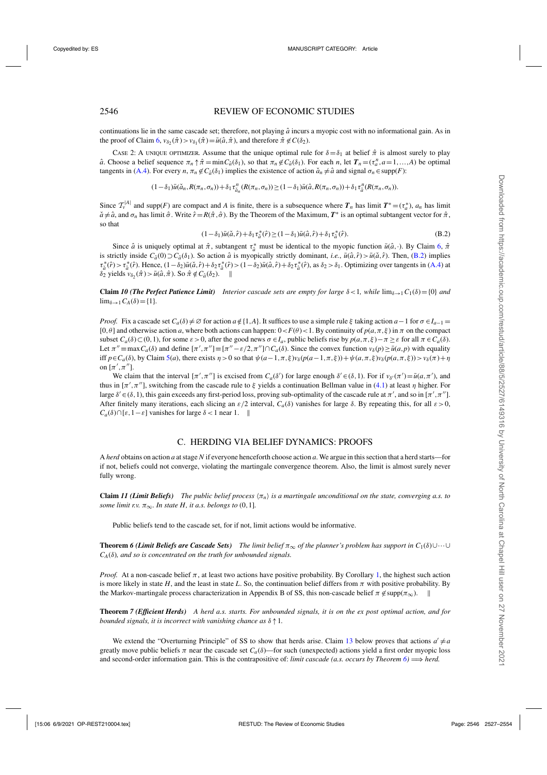## <span id="page-19-0"></span>2546 REVIEW OF ECONOMIC STUDIES

continuations lie in the same cascade set; therefore, not playing  $\hat{a}$  incurs a myopic cost with no informational gain. As in the proof of Claim [6,](#page-18-0)  $v_{\delta_2}(\hat{\pi}) > v_{\delta_1}(\hat{\pi}) = \bar{u}(\hat{a}, \hat{\pi})$ , and therefore  $\hat{\pi} \notin C(\delta_2)$ .

CASE 2: A UNIQUE OPTIMIZER. Assume that the unique optimal rule for  $\delta = \delta_1$  at belief  $\hat{\pi}$  is almost surely to play  $\hat{a}$ . Choose a belief sequence  $\pi_n \uparrow \hat{\pi} = \min C_{\hat{a}}(\delta_1)$ , so that  $\pi_n \notin C_{\hat{a}}(\delta_1)$ . For each *n*, let  $T_n = (\tau^n_a, a = 1, \ldots, A)$  be optimal tangents in [\(A.4\)](#page-17-0). For every *n*,  $\pi_n \notin C_{\hat{a}}(\delta_1)$  implies the existence of action  $\check{a}_n \neq \hat{a}$  and signal  $\sigma_n \in \text{supp}(F)$ :

$$
(1-\delta_1)\bar{u}(\check{a}_n,R(\pi_n,\sigma_n))+\delta_1\tau_{\check{a}_n}^n(R(\pi_n,\sigma_n))\geq (1-\delta_1)\bar{u}(\hat{a},R(\pi_n,\sigma_n))+\delta_1\tau_{\hat{a}}^n(R(\pi_n,\sigma_n)).
$$

Since  $T_v^{|A|}$  and supp(*F*) are compact and *A* is finite, there is a subsequence where  $T_n$  has limit  $T^* = (\tau_a^*)$ ,  $a_n$  has limit  $\tilde{a} \neq \hat{a}$ , and  $\sigma_n$  has limit  $\hat{\sigma}$ . Write  $\hat{r} = R(\hat{\pi}, \hat{\sigma})$ . By the Theorem of the Maximum,  $T^*$  is an optimal subtangent vector for  $\hat{\pi}$ , so that

$$
(1 - \delta_1)\bar{u}(\check{a}, \hat{r}) + \delta_1 \tau_{\check{a}}^*(\hat{r}) \ge (1 - \delta_1)\bar{u}(\hat{a}, \hat{r}) + \delta_1 \tau_{\hat{a}}^*(\hat{r}).
$$
\n(B.2)

Since  $\hat{a}$  is uniquely optimal at  $\hat{\pi}$ , subtangent  $\tau_a^*$  must be identical to the myopic function  $\bar{u}(\hat{a}, \cdot)$ . By Claim [6,](#page-18-0)  $\hat{\pi}$ is strictly inside  $C_{\hat{a}}(0) \supset C_{\hat{a}}(\delta_1)$ . So action  $\hat{a}$  is myopically strictly dominant, *i.e.*,  $\bar{u}(\hat{a},\hat{r}) > \bar{u}(\check{a},\hat{r})$ . Then, (B.2) implies  $\tau_a^*(\hat{r}) > \tau_a^*(\hat{r})$ . Hence,  $(1-\delta_2)\bar{u}(\check{a},\hat{r}) + \delta_2 \tau_a^*(\hat{r}) > (1-\delta_2)\bar{u}(\hat{a},\hat{r}) + \delta_2 \tau_a^*(\hat{r})$ , as  $\delta_2 > \delta_1$ . Optimizing over tangents in [\(A.4\)](#page-17-0) at  $\delta_2$  yields  $v_{\delta_2}(\hat{\pi}) > \bar{u}(\hat{a}, \hat{\pi})$ . So  $\hat{\pi} \notin C_{\hat{a}}(\delta_2)$ . ||

**Claim** *10 (The Perfect Patience Limit) Interior cascade sets are empty for large*  $\delta < 1$ *, while*  $\lim_{\delta \to 1} C_1(\delta) = \{0\}$  *and*  $\lim_{\delta \to 1} C_A(\delta) = \{1\}.$ 

*Proof.* Fix a cascade set  $C_a(\delta) \neq \emptyset$  for action  $a \notin \{1, A\}$ . It suffices to use a simple rule  $\xi$  taking action  $a-1$  for  $\sigma \in I_{a-1}$ [0,  $\theta$ ] and otherwise action *a*, where both actions can happen:  $0 < F(\theta) < 1$ . By continuity of  $p(a, \pi, \xi)$  in  $\pi$  on the compact subset  $C_a(\delta) \subset (0,1)$ , for some  $\varepsilon > 0$ , after the good news  $\sigma \in I_a$ , public beliefs rise by  $p(a,\pi,\xi) - \pi \geq \varepsilon$  for all  $\pi \in C_a(\delta)$ . Let  $\pi'' \equiv \max C_a(\delta)$  and define  $[\pi', \pi''] \equiv [\pi'' - \varepsilon/2, \pi''] \cap C_a(\delta)$ . Since the convex function  $v_\delta(p) \ge \bar{u}(a, p)$  with equality iff  $p \in C_a(\delta)$ , by Claim [5\(](#page-17-0)*a*), there exists  $\eta > 0$  so that  $\psi(a-1, \pi, \xi)y_\delta(p(a-1, \pi, \xi)) + \psi(a, \pi, \xi)y_\delta(p(a, \pi, \xi)) > v_\delta(\pi) + \eta$ on  $[\pi', \pi'']$ .

We claim that the interval  $[\pi', \pi'']$  is excised from  $C_a(\delta')$  for large enough  $\delta' \in (\delta, 1)$ . For if  $v_{\delta'}(\pi') = \bar{u}(a, \pi')$ , and thus in  $[\pi', \pi'']$ , switching from the cascade rule to  $\xi$  yields a continuation Bellman value in [\(4.1\)](#page-8-0) at least  $\eta$  higher. For large  $\delta' \in (\delta, 1)$ , this gain exceeds any first-period loss, proving sub-optimality of the cascade rule at  $\pi'$ , and so in  $[\pi', \pi'']$ . After finitely many iterations, each slicing an  $\varepsilon/2$  interval,  $C_a(\delta)$  vanishes for large  $\delta$ . By repeating this, for all  $\varepsilon > 0$ ,  $C_a(\delta) \cap [\varepsilon, 1-\varepsilon]$  vanishes for large  $\delta < 1$  near 1. ||

#### C. HERDING VIA BELIEF DYNAMICS: PROOFS

A *herd* obtains on action *a* at stage *N* if everyone henceforth choose action *a*. We argue in this section that a herd starts—for if not, beliefs could not converge, violating the martingale convergence theorem. Also, the limit is almost surely never fully wrong.

**Claim** *11 (Limit Beliefs) The public belief process*  $\langle \pi_n \rangle$  *is a martingale unconditional on the state, converging a.s. to some limit r.v.*  $\pi_{\infty}$ *. In state H, it a.s. belongs to* (0, 1]*.* 

Public beliefs tend to the cascade set, for if not, limit actions would be informative.

**Theorem** *6 (Limit Beliefs are Cascade Sets) The limit belief*  $\pi_{\infty}$  *of the planner's problem has support in*  $C_1(\delta) \cup \cdots \cup$ *CA*(δ)*, and so is concentrated on the truth for unbounded signals.*

*Proof.* At a non-cascade belief  $\pi$ , at least two actions have positive probability. By Corollary [1,](#page-9-0) the highest such action is more likely in state *H*, and the least in state *L*. So, the continuation belief differs from  $\pi$  with positive probability. By the Markov-martingale process characterization in Appendix B of SS, this non-cascade belief  $\pi \notin \text{supp}(\pi_{\infty})$ .

**Theorem** *7 (Efficient Herds) A herd a.s. starts. For unbounded signals, it is on the ex post optimal action, and for bounded signals, it is incorrect with vanishing chance as* δ↑1*.*

We extend the "Overturning Principle" of SS to show that herds arise. Claim [13](#page-20-0) below proves that actions  $a' \neq a$ greatly move public beliefs  $\pi$  near the cascade set  $C_a(\delta)$ —for such (unexpected) actions yield a first order myopic loss and second-order information gain. This is the contrapositive of: *limit cascade (a.s. occurs by Theorem*  $6$ *)*  $\Longrightarrow$  *herd.*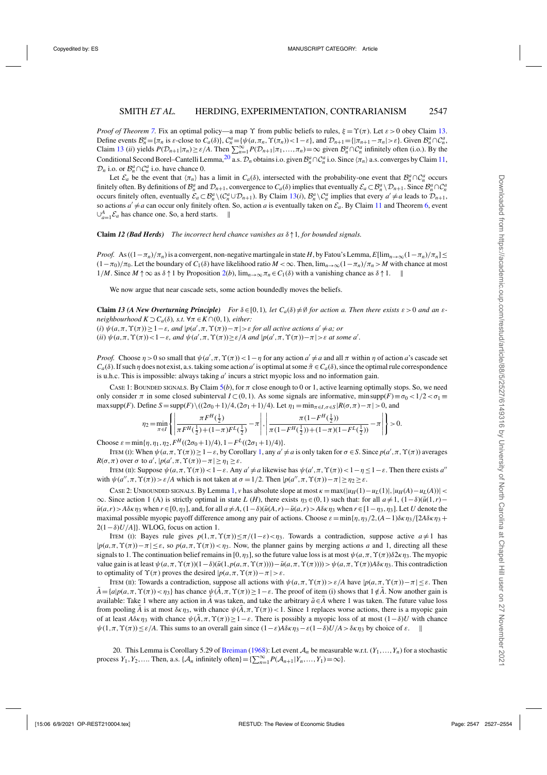<span id="page-20-0"></span>*Proof of Theorem* [7.](#page-19-0) Fix an optimal policy—a map  $\Upsilon$  from public beliefs to rules,  $\xi = \Upsilon(\pi)$ . Let  $\varepsilon > 0$  obey Claim 13. Define events  $\mathcal{B}_n^a = {\{\pi_n \text{ is } \varepsilon\text{-close to } C_a(\delta)\}, \mathcal{C}_n^a = {\{\psi(a, \pi_n, \Upsilon(\pi_n)) < 1 - \varepsilon\}}, \text{ and } \mathcal{D}_{n+1} = {\{\pi_{n+1} - \pi_n \mid \varepsilon \varepsilon\}}.$  Given  $\mathcal{B}_n^a \cap \mathcal{C}_n^a$ , Claim 13 (*ii*) yields  $P(D_{n+1}|\pi_n) \ge \varepsilon/A$ . Then  $\sum_{n=1}^{\infty} P(D_{n+1}|\pi_1,\ldots,\pi_n) = \infty$  given  $\mathcal{B}_n^a \cap \mathcal{C}_n^a$  infinitely often (i.o.). By the Conditional Second Borel–Cantelli Lemma,<sup>20</sup> a.s.  $\mathcal{D}_n$  obtains i.o. given  $\mathcal{B}_n^a \cap \mathcal{C}_n^a$  i.o. Since  $\langle \pi_n \rangle$  a.s. converges by Claim [11,](#page-19-0)  $\mathcal{D}_n$  i.o. or  $\mathcal{B}_n^a \cap \mathcal{C}_n^a$  i.o. have chance 0.

Let  $\mathcal{E}_a$  be the event that  $\langle \pi_n \rangle$  has a limit in  $C_a(\delta)$ , intersected with the probability-one event that  $\mathcal{B}_n^a \cap C_n^a$  occurs finitely often. By definitions of  $\mathcal{B}_n^a$  and  $\mathcal{D}_{n+1}$ , convergence to  $C_a(\delta)$  implies that eventually  $\mathcal{E}_a \subset \mathcal{B}_n^a \setminus \mathcal{D}_{n+1}$ . Since  $\mathcal{B}_n^a \cap \mathcal{C}_n^a$ occurs finitely often, eventually  $\mathcal{E}_a \subset \mathcal{B}_n^a \setminus (\mathcal{C}_n^a \cup \mathcal{D}_{n+1})$ . By Claim 13(*i*),  $\mathcal{B}_n^a \setminus \mathcal{C}_n^a$  implies that every  $a' \neq a$  leads to  $\mathcal{D}_{n+1}$ , so actions  $a' \neq a$  can occur only finitely often. So, action *a* is eventually taken on  $\mathcal{E}_a$ . By Claim [11](#page-19-0) and Theorem [6,](#page-19-0) event  $\bigcup^A$ .  $\mathcal{E}_a$  has chance one. So, a herd starts.  $\parallel$  $\bigcup_{a=1}^{A} E_a$  has chance one. So, a herd starts. ∥

**Claim** *12 (Bad Herds) The incorrect herd chance vanishes as* δ↑1*, for bounded signals.*

*Proof.* As  $((1 - \pi_n)/\pi_n)$  is a convergent, non-negative martingale in state *H*, by Fatou's Lemma,  $E[\lim_{n\to\infty}(1 - \pi_n)/\pi_n]$  $(1-\pi_0)/\pi_0$ . Let the boundary of *C*<sub>1</sub>(δ) have likelihood ratio *M* < ∞. Then,  $\lim_{n\to\infty}(1-\pi_n)/\pi_n > M$  with chance at most 1/*M*. Since *M* ↑∞ as δ↑1 by Proposition [2\(](#page-10-0)*b*), lim*n*→∞π*<sup>n</sup>* ∈*C*1(δ) with a vanishing chance as δ↑1.

We now argue that near cascade sets, some action boundedly moves the beliefs.

**Claim** 13 (A New Overturning Principle) For  $\delta \in [0,1)$ , let  $C_a(\delta) \neq \emptyset$  for action a. Then there exists  $\varepsilon > 0$  and an  $\varepsilon$ *neighbourhood*  $K \supset C_a(\delta)$ *, s.t.*  $\forall \pi \in K \cap (0,1)$ *, either:*  $(i)$   $\psi(a,\pi,\Upsilon(\pi)) \geq 1-\varepsilon$ , and  $|p(a',\pi,\Upsilon(\pi)) - \pi| > \varepsilon$  for all active actions  $a' \neq a$ ; or (*ii*)  $\psi(a,\pi,\Upsilon(\pi)) < 1 - \varepsilon$ *, and*  $\psi(a',\pi,\Upsilon(\pi)) \ge \varepsilon/A$  *and*  $|p(a',\pi,\Upsilon(\pi)) - \pi| > \varepsilon$  *at some a'*.

*Proof.* Choose  $\eta > 0$  so small that  $\psi(a', \pi, \Upsilon(\pi)) < 1 - \eta$  for any action  $a' \neq a$  and all  $\pi$  within  $\eta$  of action *a*'s cascade set  $C_a(\delta)$ . If such  $\eta$  does not exist, a.s. taking some action *a'* is optimal at some  $\tilde{\pi} \in C_a(\delta)$ , since the optimal rule correspondence is u.h.c. This is impossible: always taking *a'* incurs a strict myopic loss and no information gain.

Case 1: BOUNDED SIGNALS. By Claim  $5(b)$  $5(b)$ , for  $\pi$  close enough to 0 or 1, active learning optimally stops. So, we need only consider  $\pi$  in some closed subinterval  $I \subset (0,1)$ . As some signals are informative, minsupp( $F$ )≡ $\sigma_0 < 1/2 < \sigma_1$ maxsupp(*F*). Define  $S = \text{supp}(F) \setminus ((2\sigma_0 + 1)/4, (2\sigma_1 + 1)/4)$ . Let  $\eta_1 = \min_{\pi \in I, \sigma \in S} |R(\sigma, \pi) - \pi| > 0$ , and

$$
\eta_2\!=\!\min_{\pi\in I}\left\{\left|\frac{\pi F^H(\frac{1}{2})}{\pi F^H(\frac{1}{2})\!+\!(1\!-\!\pi)F^L(\frac{1}{2})}-\pi\right|,\left|\frac{\pi(1\!-\!F^H(\frac{1}{2}))}{\pi(1\!-\!F^H(\frac{1}{2}))+\!(1\!-\!\pi)(1\!-\!F^L(\frac{1}{2}))}-\pi\right|\right\}>0.
$$

Choose  $\varepsilon = \min{\{\eta, \eta_1, \eta_2, F^H((2\sigma_0+1)/4), 1-F^L((2\sigma_1+1)/4)\}}$ .

ITEM (I): When  $\psi(a, \pi, \Upsilon(\pi)) \ge 1 - \varepsilon$ , by Corollary [1,](#page-9-0) any *a'* ≠ *a* is only taken for  $\sigma \in S$ . Since *p*(*a'*,  $\pi$ ,  $\Upsilon(\pi)$ ) averages *R*( $\sigma$ , $\pi$ ) over  $\sigma$  to  $a'$ ,  $|p(a', \pi, \Upsilon(\pi)) - \pi| \ge \eta_1 \ge \varepsilon$ .

ITEM (II): Suppose  $\psi(a, \pi, \Upsilon(\pi)) < 1 - \varepsilon$ . Any  $a' \neq a$  likewise has  $\psi(a', \pi, \Upsilon(\pi)) < 1 - \eta \leq 1 - \varepsilon$ . Then there exists *a''* with  $\psi(a'', \pi, \Upsilon(\pi)) > \varepsilon/A$  which is not taken at  $\sigma = 1/2$ . Then  $|p(a'', \pi, \Upsilon(\pi)) - \pi| \geq \eta_2 \geq \varepsilon$ .

CASE 2: UNBOUNDED SIGNALS. By Lemma [1,](#page-8-0) *v* has absolute slope at most  $\kappa = \max(|u_H(1) - u_L(1)|, |u_H(A) - u_L(A))|$  <  $\infty$ . Since action 1 (A) is strictly optimal in state *L* (*H*), there exists  $\eta_3 \in (0,1)$  such that: for all  $a \neq 1$ ,  $(1-\delta)(\bar{u}(1,r) \bar{u}(a,r) > A\delta\kappa\eta_3$  when  $r \in [0,\eta_3]$ , and, for all  $a \neq A$ ,  $(1-\delta)(\bar{u}(A,r) - \bar{u}(a,r)) > A\delta\kappa\eta_3$  when  $r \in [1-\eta_3,\eta_3]$ . Let U denote the maximal possible myopic payoff difference among any pair of actions. Choose  $\varepsilon = \min{\{\eta, \eta_3/2, (A-1)\delta \kappa \eta_3 + 1, 2\delta \kappa \eta_4\}}$ 2(1−δ)*U*/*A*]}. WLOG, focus on action 1.

ITEM (I): Bayes rule gives  $p(1, \pi, \Upsilon(\pi)) \leq \pi/(1-\varepsilon) < \eta_3$ . Towards a contradiction, suppose active  $a \neq 1$  has  $|p(a,\pi,\Upsilon(\pi))-\pi| \leq \varepsilon$ , so  $p(a,\pi,\Upsilon(\pi)) < \eta_3$ . Now, the planner gains by merging actions *a* and 1, directing all these signals to 1. The continuation belief remains in [0,  $\eta_3$ ], so the future value loss is at most  $\psi(a, \pi, \Upsilon(\pi))\delta 2\kappa \eta_3$ . The myopic value gain is at least  $\psi(a,\pi,\Upsilon(\pi))(1-\delta)(\bar{u}(1,p(a,\pi,\Upsilon(\pi))))-\bar{u}(a,\pi,\Upsilon(\pi))))>\psi(a,\pi,\Upsilon(\pi))A\delta\kappa\eta_3$ . This contradiction to optimality of  $\Upsilon(\pi)$  proves the desired  $|p(a,\pi,\Upsilon(\pi))-\pi|>\varepsilon$ .

ITEM (II): Towards a contradiction, suppose all actions with  $ψ(a, π, Υ(π)) > ε/A$  have  $|p(a, π, Υ(π)) - π| ≤ ε$ . Then  $\hat{A} = \{a|p(a,\pi,\Upsilon(\pi)) < \eta_3\}$  has chance  $\psi(\hat{A},\pi,\Upsilon(\pi)) \geq 1-\varepsilon$ . The proof of item (i) shows that  $1 \notin \hat{A}$ . Now another gain is available: Take 1 where any action in *A* was taken, and take the arbitrary  $\tilde{a} \in A$  where 1 was taken. The future value loss from pooling  $\tilde{A}$  is at most  $\delta \kappa \eta_3$ , with chance  $\psi(\tilde{A}, \pi, \Upsilon(\pi))$  < 1. Since 1 replaces worse actions, there is a myopic gain of at least  $A\delta \kappa \eta_3$  with chance  $\psi(\tilde{A}, \pi, \Upsilon(\pi)) \geq 1 - \varepsilon$ . There is possibly a myopic loss of at most  $(1-\delta)U$  with chance  $\psi(1,\pi,\Upsilon(\pi)) \leq \varepsilon/A$ . This sums to an overall gain since  $(1-\varepsilon)A\delta\kappa\eta_3 - \varepsilon(1-\delta)U/A > \delta\kappa\eta_3$  by choice of  $\varepsilon$ .

20. This Lemma is Corollary 5.29 of [Breiman](#page-26-0) [\(1968](#page-26-0)): Let event A*<sup>n</sup>* be measurable w.r.t. (*Y*1,...,*Yn*) for a stochastic process  $Y_1, Y_2, \ldots$  Then, a.s.  $\{A_n \text{ infinitely often}\} = \{\sum_{n=1}^{\infty} P(A_{n+1}|Y_n, \ldots, Y_1) = \infty\}.$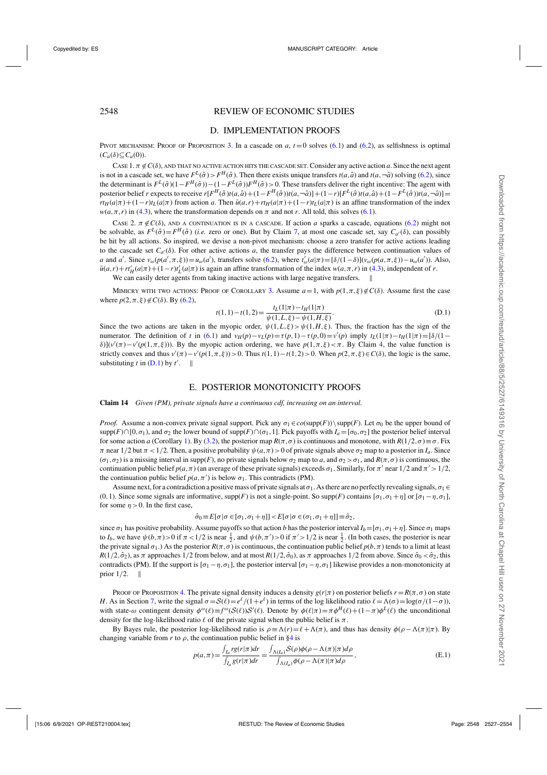# <span id="page-21-0"></span>2548 REVIEW OF ECONOMIC STUDIES

## D. IMPLEMENTATION PROOFS

PIVOT MECHANISM: PROOF OF PROPOSITION [3.](#page-11-0) In a cascade on  $a, t = 0$  solves [\(6.1\)](#page-11-0) and [\(6.2\)](#page-12-0), as selfishness is optimal  $(C_a(\delta) \subseteq C_a(0)).$ 

CASE  $1. \pi \notin C(\delta)$ , AND THAT NO ACTIVE ACTION HITS THE CASCADE SET. Consider any active action *a*. Since the next agent is not in a cascade set, we have  $F^L(\hat{\sigma}) > F^H(\hat{\sigma})$ . Then there exists unique transfers  $t(a, \hat{a})$  and  $t(a, -\hat{a})$  solving [\(6.2\)](#page-12-0), since the determinant is  $F^L(\hat{\sigma})(1 - F^H(\hat{\sigma})) - (1 - F^L(\hat{\sigma}))F^H(\hat{\sigma}) > 0$ . These transfers deliver the right incentive: The agent with posterior belief r expects to receive  $r[F^H(\hat{\sigma})t(a,\hat{a})+(1-F^H(\hat{\sigma}))t(a,-\hat{a})]+(1-r)[F^L(\hat{\sigma})t(a,\hat{a})+(1-F^L(\hat{\sigma}))t(a,-\hat{a})]=$  $r t_H(a|\pi) + (1-r)t_L(a|\pi)$  from action *a*. Then  $\bar{u}(a,r) + r t_H(a|\pi) + (1-r)t_L(a|\pi)$  is an affine transformation of the index  $w(a, \pi, r)$  in [\(4.3\)](#page-8-0), where the transformation depends on  $\pi$  and not *r*. All told, this solves [\(6.1\)](#page-11-0).

CASE 2.  $\pi \notin C(\delta)$ , AND A CONTINUATION IS IN A CASCADE. If action *a* sparks a cascade, equations [\(6.2\)](#page-12-0) might not be solvable, as  $F^L(\hat{\sigma}) = F^H(\hat{\sigma})$  (*i.e.* zero or one). But by Claim [7,](#page-18-0) at most one cascade set, say  $C_{a'}(\delta)$ , can possibly be hit by all actions. So inspired, we devise a non-pivot mechanism: choose a zero transfer for active actions leading to the cascade set  $C_{a'}(\delta)$ . For other active actions *a*, the transfer pays the difference between continuation values of *a* and *a'*. Since  $v_{\omega}(p(a', \pi, \xi)) = u_{\omega}(a')$ , transfers solve [\(6.2\)](#page-12-0), where  $t'_{\omega}(a|\pi) = [\delta/(1-\delta)](v_{\omega}(p(a, \pi, \xi)) - u_{\omega}(a'))$ . Also,  $\bar{u}(a,r) + r_H'(a|\pi) + (1-r)t_L'(a|\pi)$  is again an affine transformation of the index  $w(a,\pi,r)$  in [\(4.3\)](#page-8-0), independent of *r*.

We can easily deter agents from taking inactive actions with large negative transfers.  $\parallel$ 

MIMICRY WITH TWO ACTIONS: PROOF OF COROLLARY [3.](#page-12-0) Assume  $a=1$ , with  $p(1, \pi, \xi) \notin C(\delta)$ . Assume first the case where  $p(2, \pi, \xi) \notin C(\delta)$ . By [\(6.2\)](#page-12-0),

$$
t(1,1) - t(1,2) = \frac{t_L(1|\pi) - t_H(1|\pi)}{\psi(1,L,\xi) - \psi(1,H,\xi)}.
$$
\n(D.1)

Since the two actions are taken in the myopic order,  $\psi(1,L,\xi) > \psi(1,H,\xi)$ . Thus, the fraction has the sign of the numerator. The definition of *t* in [\(6.1\)](#page-11-0) and  $v_H(p) - v_L(p) = \tau(p, 1) - \tau(p, 0) = v'(p)$  imply  $t_L(1|\pi) - t_H(1|\pi) = \frac{\delta}{(1-\pi)^2}$ δ)](*v'*(π)−*v'*(*p*(1,π,ξ))). By the myopic action ordering, we have  $p(1,π,ξ) < π$ . By Claim [4,](#page-17-0) the value function is strictly convex and thus  $v'(\pi) - v'(p(1, \pi, \xi)) > 0$ . Thus  $t(1, 1) - t(1, 2) > 0$ . When  $p(2, \pi, \xi) \in C(\delta)$ , the logic is the same, substituting *t* in  $(D.1)$  by *t'*.  $\parallel$ 

#### E. POSTERIOR MONOTONICITY PROOFS

**Claim 14** *Given (PM), private signals have a continuous cdf, increasing on an interval.*

*Proof.* Assume a non-convex private signal support. Pick any  $\sigma_1 \in co(\text{supp}(F))\setminus \text{supp}(F)$ . Let  $\sigma_0$  be the upper bound of  $\supp(F) \cap [0, \sigma_1)$ , and  $\sigma_2$  the lower bound of  $\supp(F) \cap (\sigma_1, 1]$ . Pick payoffs with  $I_a = [\sigma_0, \sigma_2]$  the posterior belief interval for some action *a* (Corollary [1\)](#page-9-0). By [\(3.2\)](#page-7-0), the posterior map  $R(\pi, \sigma)$  is continuous and monotone, with  $R(1/2, \sigma) \equiv \sigma$ . Fix  $\pi$  near  $1/2$  but  $\pi < 1/2$ . Then, a positive probability  $\psi(a,\pi) > 0$  of private signals above  $\sigma_2$  map to a posterior in  $I_a$ . Since  $(\sigma_1, \sigma_2)$  is a missing interval in supp(*F*), no private signals below  $\sigma_2$  map to *a*, and  $\sigma_2 > \sigma_1$ , and  $R(\pi, \sigma)$  is continuous, the continuation public belief  $p(a, \pi)$  (an average of these private signals) exceeds  $\sigma_1$ . Similarly, for  $\pi'$  near  $1/2$  and  $\pi' > 1/2$ , the continuation public belief  $p(a, \pi')$  is below  $\sigma_1$ . This contradicts (PM).

Assume next, for a contradiction a positive mass of private signals at  $\sigma_1$ . As there are no perfectly revealing signals,  $\sigma_1 \in$ (0,1). Since some signals are informative,  $supp(F)$  is not a single-point. So  $supp(F)$  contains  $[\sigma_1, \sigma_1 + \eta]$  or  $[\sigma_1 - \eta, \sigma_1]$ , for some  $\eta > 0$ . In the first case,

$$
\hat{\sigma}_0 \equiv E[\sigma | \sigma \in [\sigma_1, \sigma_1 + \eta]] < E[\sigma | \sigma \in (\sigma_1, \sigma_1 + \eta]] \equiv \hat{\sigma}_2,
$$

since  $\sigma_1$  has positive probability. Assume payoffs so that action *b* has the posterior interval  $I_b = [\sigma_1, \sigma_1 + \eta]$ . Since  $\sigma_1$  maps to  $I_b$ , we have  $\psi(b,\pi) > 0$  if  $\pi < 1/2$  is near  $\frac{1}{2}$ , and  $\psi(b,\pi') > 0$  if  $\pi' > 1/2$  is near  $\frac{1}{2}$ . (In both cases, the posterior is near the private signal  $\sigma_1$ .) As the posterior  $R(\pi, \sigma)$  is continuous, the continuation public belief  $p(b, \pi)$  tends to a limit at least  $R(1/2,\hat{\sigma}_2)$ , as  $\pi$  approaches  $1/2$  from below, and at most  $R(1/2,\hat{\sigma}_0)$ , as  $\pi$  approaches  $1/2$  from above. Since  $\hat{\sigma}_0 < \hat{\sigma}_2$ , this contradicts (PM). If the support is  $[\sigma_1 - \eta, \sigma_1]$ , the posterior interval  $[\sigma_1 - \eta, \sigma_1]$  likewise provides a non-monotonicity at prior  $1/2$ .  $\parallel$ 

PROOF OF PROPOSITION [4.](#page-13-0) The private signal density induces a density  $g(r|\pi)$  on posterior beliefs  $r = R(\pi, \sigma)$  on state *H*. As in Section [7,](#page-12-0) write the signal  $\sigma = S(\ell) = e^{\ell}/(1+e^{\ell})$  in terms of the log likelihood ratio  $\ell = \Lambda(\sigma) = \log(\sigma/(1-\sigma))$ . with state- $\omega$  contingent density  $\phi^{\omega}(\ell) \equiv f^{\omega}(S(\ell))S'(\ell)$ . Denote by  $\phi(\ell|\pi) = \pi \phi^H(\ell) + (1-\pi)\phi^L(\ell)$  the unconditional density for the log-likelihood ratio  $\ell$  of the private signal when the public belief is  $\pi$ .

By Bayes rule, the posterior log-likelihood ratio is  $\rho = \Lambda(r) = \ell + \Lambda(\pi)$ , and thus has density  $\phi(\rho - \Lambda(\pi))\pi$ . By changing variable from  $r$  to  $\rho$ , the continuation public belief in [§4](#page-8-0) is

$$
p(a,\pi) = \frac{\int_{I_a} rg(r|\pi)dr}{\int_{I_a} g(r|\pi)dr} = \frac{\int_{\Lambda(I_a)} S(\rho)\phi(\rho - \Lambda(\pi)|\pi)d\rho}{\int_{\Lambda(I_a)} \phi(\rho - \Lambda(\pi)|\pi)d\rho},
$$
(E.1)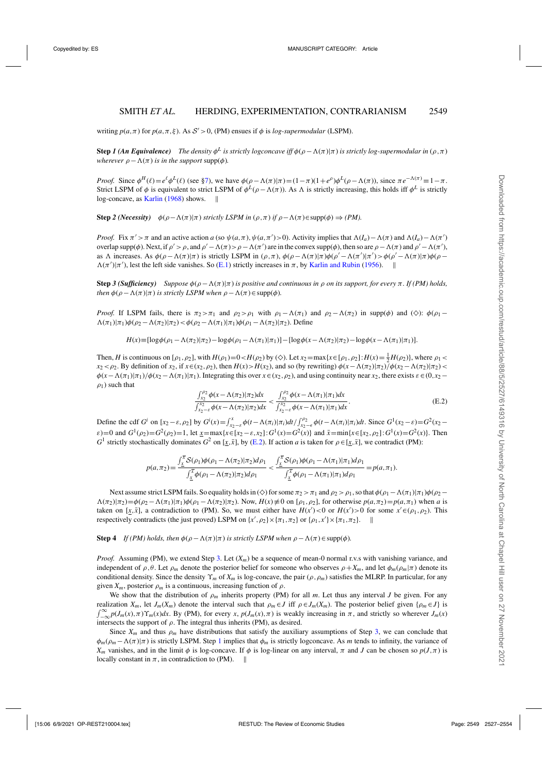writing  $p(a,\pi)$  for  $p(a,\pi,\xi)$ . As  $S' > 0$ , (PM) ensues if  $\phi$  is *log-supermodular* (LSPM).

**Step** *1* **(An Equivalence)** The density  $\phi^L$  is strictly logconcave iff  $\phi(\rho - \Lambda(\pi)|\pi)$  is strictly log-supermodular in ( $\rho, \pi$ ) *wherever*  $\rho - \Lambda(\pi)$  *is in the support* supp( $\phi$ ).

*Proof.* Since  $\phi^H(\ell) = e^{\ell} \phi^L(\ell)$  (see [§7\)](#page-12-0), we have  $\phi(\rho - \Lambda(\pi)|\pi) = (1 - \pi)(1 + e^{\rho})\phi^L(\rho - \Lambda(\pi))$ , since  $\pi e^{-\Lambda(\pi)} \equiv 1 - \pi$ . Strict LSPM of  $\phi$  is equivalent to strict LSPM of  $\phi^L(\rho - \Lambda(\pi))$ . As  $\Lambda$  is strictly increasing, this holds iff  $\phi^L$  is strictly log-concave, as [Karlin](#page-27-0) [\(1968\)](#page-27-0) shows. ||

**Step** 2 (Necessity)  $\phi(\rho - \Lambda(\pi)|\pi)$  *strictly LSPM in*  $(\rho, \pi)$  *if*  $\rho - \Lambda(\pi) \in \text{supp}(\phi) \Rightarrow (PM)$ .

*Proof.* Fix  $\pi' > \pi$  and an active action *a* (so  $\psi(a,\pi), \psi(a,\pi') > 0$ ). Activity implies that  $\Lambda(I_a) - \Lambda(\pi)$  and  $\Lambda(I_a) - \Lambda(\pi')$ overlap supp( $\phi$ ). Next, if  $\rho' > \rho$ , and  $\rho' - \Lambda(\pi) > \rho - \Lambda(\pi')$  are in the convex supp( $\phi$ ), then so are  $\rho - \Lambda(\pi)$  and  $\rho' - \Lambda(\pi')$ , as  $\Lambda$  increases. As  $\phi(\rho - \Lambda(\pi)|\pi)$  is strictly LSPM in  $(\rho, \pi)$ ,  $\phi(\rho - \Lambda(\pi)|\pi)\phi(\rho' - \Lambda(\pi')|\pi') > \phi(\rho' - \Lambda(\pi)|\pi)\phi(\rho - \Lambda(\pi)|\pi)$  $\Lambda(\pi')|\pi'$ , lest the left side vanishes. So [\(E.1\)](#page-21-0) strictly increases in  $\pi$ , by [Karlin and Rubin](#page-27-0) [\(1956\)](#page-27-0).  $\parallel$ 

**Step 3 (Sufficiency)** Suppose  $\phi(\rho - \Lambda(\pi)|\pi)$  *is positive and continuous in*  $\rho$  *on its support, for every*  $\pi$ *. If (PM) holds, then*  $\phi(\rho - \Lambda(\pi)|\pi)$  *is strictly LSPM when*  $\rho - \Lambda(\pi) \in \text{supp}(\phi)$ *.* 

*Proof.* If LSPM fails, there is  $\pi_2 > \pi_1$  and  $\rho_2 > \rho_1$  with  $\rho_1 - \Lambda(\pi_1)$  and  $\rho_2 - \Lambda(\pi_2)$  in supp( $\phi$ ) and ( $\diamondsuit$ ):  $\phi(\rho_1 - \Lambda(\pi_1))$  $(\Lambda(\pi_1)|\pi_1)\phi(\rho_2-\Lambda(\pi_2)|\pi_2) < \phi(\rho_2-\Lambda(\pi_1)|\pi_1)\phi(\rho_1-\Lambda(\pi_2)|\pi_2)$ . Define

$$
H(x) = [\log \phi(\rho_1 - \Lambda(\pi_2)|\pi_2) - \log \phi(\rho_1 - \Lambda(\pi_1)|\pi_1)] - [\log \phi(x - \Lambda(\pi_2)|\pi_2) - \log \phi(x - \Lambda(\pi_1)|\pi_1)].
$$

Then, *H* is continuous on  $[\rho_1, \rho_2]$ , with  $H(\rho_1)=0 < H(\rho_2)$  by ( $\diamondsuit$ ). Let  $x_2=\max\{x \in [\rho_1, \rho_2]: H(x)=\frac{1}{2}H(\rho_2)\}$ , where  $\rho_1 <$  $x_2 < \rho_2$ . By definition of  $x_2$ , if  $x \in (x_2, \rho_2)$ , then  $H(x) > H(x_2)$ , and so (by rewriting)  $\phi(x - \Lambda(\pi_2)|\pi_2)/\phi(x_2 - \Lambda(\pi_2)|\pi_2) <$  $\phi(x-\Lambda(\pi_1)|\pi_1)/\phi(x_2-\Lambda(\pi_1)|\pi_1)$ . Integrating this over  $x \in (x_2,\rho_2)$ , and using continuity near *x*<sub>2</sub>, there exists  $\varepsilon \in (0,x_2-\Lambda(\pi_1)|\pi_1)$ .  $\rho_1$ ) such that

$$
\frac{\int_{x_2}^{\rho_2} \phi(x - \Lambda(\pi_2)|\pi_2) dx}{\int_{x_2-\varepsilon}^{x_2} \phi(x - \Lambda(\pi_2)|\pi_2) dx} < \frac{\int_{x_2}^{\rho_2} \phi(x - \Lambda(\pi_1)|\pi_1) dx}{\int_{x_2-\varepsilon}^{x_2} \phi(x - \Lambda(\pi_1)|\pi_1) dx}.\tag{E.2}
$$

Define the cdf  $G^i$  on  $[x_2 - \varepsilon, \rho_2]$  by  $G^i(x) = \int_{x_2 - \varepsilon}^x \phi(t - \Lambda(\pi_i)|\pi_i)dt / \int_{x_2 - \varepsilon}^{\rho_2} \phi(t - \Lambda(\pi_i)|\pi_i)dt$ . Since  $G^1(x_2 - \varepsilon) = G^2(x_2 - \varepsilon)$  $\varepsilon$ )=0 and  $G^1(\rho_2) = G^2(\rho_2) = 1$ , let  $\underline{x} = \max\{x \in [x_2 - \varepsilon, x_2] : G^1(x) = G^2(x)\}$  and  $\overline{x} = \min\{x \in [x_2, \rho_2] : G^1(x) = G^2(x)\}$ . Then *G*<sup>1</sup> strictly stochastically dominates *G*<sup>2</sup> on [*x*,*x*̄], by (E.2). If action *a* is taken for  $\rho \in [x, \bar{x}]$ , we contradict (PM):

$$
p(a,\pi_2) = \frac{\int_{\underline{x}}^{\overline{x}} \mathcal{S}(\rho_1) \phi(\rho_1 - \Lambda(\pi_2) | \pi_2) d\rho_1}{\int_{\underline{x}}^{\overline{x}} \phi(\rho_1 - \Lambda(\pi_2) | \pi_2) d\rho_1} < \frac{\int_{\underline{x}}^{\overline{x}} \mathcal{S}(\rho_1) \phi(\rho_1 - \Lambda(\pi_1) | \pi_1) d\rho_1}{\int_{\underline{x}}^{\overline{x}} \phi(\rho_1 - \Lambda(\pi_1) | \pi_1) d\rho_1} = p(a,\pi_1).
$$

Next assume strict LSPM fails. So equality holds in ( $\diamond$ ) for some  $\pi_2 > \pi_1$  and  $\rho_2 > \rho_1$ , so that  $\phi(\rho_1 - \Lambda(\pi_1)|\pi_1)\phi(\rho_2 - \Lambda(\pi_1)|\pi_1)$  $(\Lambda(\pi_2)|\pi_2) = \phi(\rho_2 - \Lambda(\pi_1)|\pi_1)\phi(\rho_1 - \Lambda(\pi_2)|\pi_2)$ . Now,  $H(x) \neq 0$  on [ $\rho_1, \rho_2$ ], for otherwise  $p(a, \pi_2) = p(a, \pi_1)$  when *a* is taken on [*x*,*x*̄], a contradiction to (PM). So, we must either have  $H(x') < 0$  or  $H(x') > 0$  for some  $x' \in (\rho_1, \rho_2)$ . This respectively contradicts (the just proved) LSPM on  $\{x', \rho_2\} \times \{\pi_1, \pi_2\}$  or  $\{\rho_1, x'\} \times \{\pi_1, \pi_2\}$ .

**Step 4** *If (PM) holds, then*  $\phi(\rho - \Lambda(\pi)|\pi)$  *is strictly LSPM when*  $\rho - \Lambda(\pi) \in \text{supp}(\phi)$ *.* 

*Proof.* Assuming (PM), we extend Step 3. Let (*Xm*) be a sequence of mean-0 normal r.v.s with vanishing variance, and independent of  $\rho$ ,  $\theta$ . Let  $\rho_m$  denote the posterior belief for someone who observes  $\rho + X_m$ , and let  $\phi_m(\rho_m|\pi)$  denote its conditional density. Since the density  $\Upsilon_m$  of  $X_m$  is log-concave, the pair ( $\rho$ , $\rho_m$ ) satisfies the MLRP. In particular, for any given  $X_m$ , posterior  $\rho_m$  is a continuous, increasing function of  $\rho$ .

We show that the distribution of  $\rho_m$  inherits property (PM) for all *m*. Let thus any interval *J* be given. For any realization  $X_m$ , let  $J_m(X_m)$  denote the interval such that  $\rho_m \in J$  iff  $\rho \in J_m(X_m)$ . The posterior belief given  $\{\rho_m \in J\}$  is  $\int_{-\infty}^{\infty} p(J_m(x), \pi) \Upsilon_m(x) dx$ . By (PM), for every *x*,  $p(J_m(x), \pi)$  is weakly increasing in  $\pi$ , and strictly so wherever  $J_m(x)$ intersects the support of  $\rho$ . The integral thus inherits (PM), as desired.

Since  $X_m$  and thus  $\rho_m$  have distributions that satisfy the auxiliary assumptions of Step 3, we can conclude that  $\phi_m(\rho_m-\Lambda(\pi)|\pi)$  is strictly LSPM. Step 1 implies that  $\phi_m$  is strictly logconcave. As *m* tends to infinity, the variance of *X<sub>m</sub>* vanishes, and in the limit  $\phi$  is log-concave. If  $\phi$  is log-linear on any interval,  $\pi$  and *J* can be chosen so  $p(J,\pi)$  is locally constant in  $\pi$ , in contradiction to (PM).  $\parallel$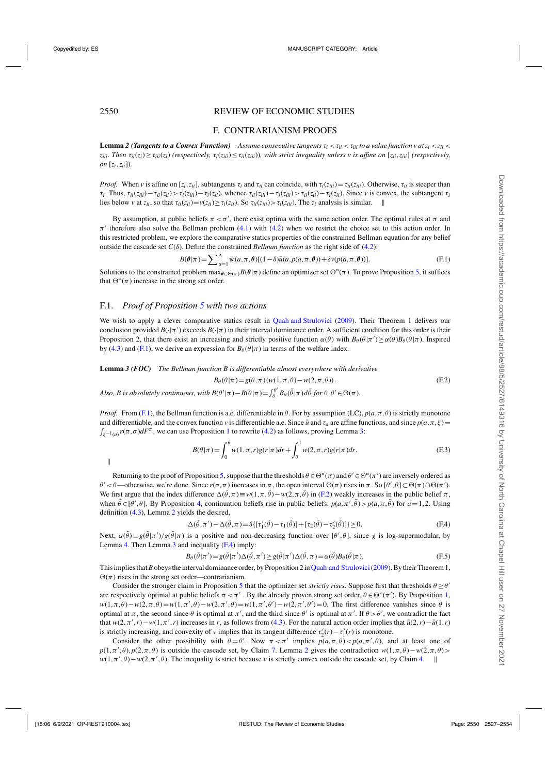## <span id="page-23-0"></span>2550 REVIEW OF ECONOMIC STUDIES

#### F. CONTRARIANISM PROOFS

**Lemma 2 (Tangents to a Convex Function)** Assume consecutive tangents  $\tau_i < \tau_{ii} < \tau_{iii}$  to a value function v at  $z_i < z_{ii} <$  $z_{iii}$ . Then  $\tau_{ii}(z_i) \ge \tau_{iii}(z_i)$  (respectively,  $\tau_i(z_{iii}) \le \tau_{ii}(z_{iii})$ ), with strict inequality unless v is affine on  $[z_{ii}, z_{iii}]$  (respectively, *on* [*zi*,*zii*])*.*

*Proof.* When *v* is affine on [*z<sub>i</sub>*,*z<sub>ii</sub>*], subtangents  $\tau_i$  and  $\tau_{ii}$  can coincide, with  $\tau_i(z_{iii}) = \tau_{ii}(z_{iii})$ . Otherwise,  $\tau_{ii}$  is steeper than  $\tau_i$ . Thus,  $\tau_{ii}(z_{iii}) - \tau_{ii}(z_{ii}) > \tau_i(z_{iii}) - \tau_i(z_{ii})$ , whence  $\tau_{ii}(z_{iii}) - \tau_i(z_{iii}) > \tau_{ii}(z_{ii}) - \tau_i(z_{ii})$ . Since v is convex, the subtangent  $\tau_i$ lies below *v* at  $z_{ii}$ , so that  $\tau_{ii}(z_{ii})=v(z_{ii})\geq \tau_i(z_{ii})$ . So  $\tau_{ii}(z_{iii})>\tau_i(z_{iii})$ . The  $z_i$  analysis is similar.

By assumption, at public beliefs  $\pi < \pi'$ , there exist optima with the same action order. The optimal rules at  $\pi$  and  $\pi'$  therefore also solve the Bellman problem [\(4.1\)](#page-8-0) with [\(4.2\)](#page-8-0) when we restrict the choice set to this action order. In this restricted problem, we explore the comparative statics properties of the constrained Bellman equation for any belief outside the cascade set  $C(\delta)$ . Define the constrained *Bellman function* as the right side of [\(4.2\)](#page-8-0):

$$
B(\theta|\pi) = \sum_{a=1}^{A} \psi(a,\pi,\theta)[(1-\delta)\bar{u}(a,p(a,\pi,\theta)) + \delta v(p(a,\pi,\theta))].
$$
 (F.1)

Solutions to the constrained problem max $_{\theta \in \Theta(\pi)} B(\theta | \pi)$  define an optimizer set  $\Theta^*(\pi)$ . To prove Proposition [5,](#page-14-0) it suffices that  $\Theta^*(\pi)$  increase in the strong set order.

#### F.1. *Proof of Proposition [5](#page-14-0) with two actions*

We wish to apply a clever comparative statics result in [Quah and Strulovici](#page-27-0) [\(2009](#page-27-0)). Their Theorem 1 delivers our conclusion provided  $B(\cdot|\pi')$  exceeds  $B(\cdot|\pi)$  in their interval dominance order. A sufficient condition for this order is their Proposition 2, that there exist an increasing and strictly positive function  $\alpha(\theta)$  with  $B_{\theta}(\theta|\pi') \ge \alpha(\theta)B_{\theta}(\theta|\pi)$ . Inspired by [\(4.3\)](#page-8-0) and (F.1), we derive an expression for  $B_{\theta}(\theta|\pi)$  in terms of the welfare index.

**Lemma** *3 (FOC) The Bellman function B is differentiable almost everywhere with derivative*

$$
B_{\theta}(\theta|\pi) = g(\theta,\pi)(w(1,\pi,\theta) - w(2,\pi,\theta)).
$$
\n(F.2)  
\nAlso, B is absolutely continuous, with  $B(\theta'|\pi) - B(\theta|\pi) = \int_{\theta}^{\theta'} B_{\theta}(\tilde{\theta}|\pi) d\tilde{\theta}$  for  $\theta, \theta' \in \Theta(\pi)$ .

*Proof.* From (F.1), the Bellman function is a.e. differentiable in  $\theta$ . For by assumption (LC),  $p(a, \pi, \theta)$  is strictly monotone and differentiable, and the convex function *v* is differentiable a.e. Since  $\bar{u}$  and  $\tau_a$  are affine functions, and since  $p(a, \pi, \xi)$  $\int_{\xi^{-1}(a)} r(\pi, \sigma) dF^{\pi}$  $\int_{\xi^{-1}(a)} r(\pi, \sigma) dF^{\pi}$  $\int_{\xi^{-1}(a)} r(\pi, \sigma) dF^{\pi}$ , we can use Proposition 1 to rewrite [\(4.2\)](#page-8-0) as follows, proving Lemma 3:

$$
B(\theta|\pi) = \int_0^{\theta} w(1,\pi,r)g(r|\pi)dr + \int_{\theta}^1 w(2,\pi,r)g(r|\pi)dr.
$$
 (F.3)

 $\parallel$ 

Returning to the proof of Proposition [5,](#page-14-0) suppose that the thresholds  $\theta \in \Theta^*(\pi)$  and  $\theta' \in \Theta^*(\pi')$  are inversely ordered as  $θ' < θ$ —otherwise, we're done. Since  $r(σ, π)$  increases in π, the open interval  $Θ(π)$  rises in π. So  $[θ', θ] ⊂ Θ(π) ∩ Θ(π')$ . We first argue that the index difference  $\Delta(\hat{\theta}, \pi) \equiv w(1, \pi, \hat{\theta}) - w(2, \pi, \hat{\theta})$  in (F.2) weakly increases in the public belief  $\pi$ , when  $\tilde{\theta} \in [\theta', \theta]$ . By Proposition [4,](#page-13-0) continuation beliefs rise in public beliefs:  $p(a, \pi', \tilde{\theta}) > p(a, \pi, \tilde{\theta})$  for  $a = 1, 2$ . Using definition [\(4.3\)](#page-8-0), Lemma 2 yields the desired,

$$
\Delta(\tilde{\theta}, \pi') - \Delta(\tilde{\theta}, \pi) = \delta\{[\tau_1'(\tilde{\theta}) - \tau_1(\tilde{\theta})] + [\tau_2(\tilde{\theta}) - \tau_2'(\tilde{\theta})]\} \ge 0.
$$
 (F.4)

Next,  $\alpha(\tilde{\theta}) = g(\tilde{\theta}|\pi')/g(\tilde{\theta}|\pi)$  is a positive and non-decreasing function over  $[\theta', \theta]$ , since *g* is log-supermodular, by Lemma [4.](#page-13-0) Then Lemma 3 and inequality (F.4) imply:

$$
B_{\theta}(\tilde{\theta}|\pi') = g(\tilde{\theta}|\pi')\Delta(\tilde{\theta},\pi') \ge g(\tilde{\theta}|\pi')\Delta(\tilde{\theta},\pi) = \alpha(\tilde{\theta})B_{\theta}(\tilde{\theta}|\pi),
$$
(F.5)

This implies that *B* obeys the interval dominance order, by Proposition 2 in Quah and Strulovici (2009). By their Theorem 1,  $\Theta(\pi)$  rises in the strong set order—contrarianism.

Consider the stronger claim in Proposition [5](#page-14-0) that the optimizer set *strictly rises*. Suppose first that thresholds  $\theta \ge \theta'$ are respectively optimal at public beliefs  $\pi < \pi'$ . By the already proven strong set order,  $\theta \in \Theta^*(\pi')$ . By Proposition [1,](#page-8-0)  $w(1,\pi,\theta) - w(2,\pi,\theta) = w(1,\pi',\theta) - w(2,\pi',\theta) = w(1,\pi',\theta') - w(2,\pi',\theta') = 0$ . The first difference vanishes since  $\theta$  is optimal at π, the second since  $θ$  is optimal at π', and the third since  $θ'$  is optimal at π'. If  $θ > θ'$ , we contradict the fact that  $w(2, \pi', r) - w(1, \pi', r)$  increases in *r*, as follows from [\(4.3\)](#page-8-0). For the natural action order implies that  $\bar{u}(2, r) - \bar{u}(1, r)$ is strictly increasing, and convexity of *v* implies that its tangent difference  $\tau'_2(r) - \tau'_1(r)$  is monotone.

Consider the other possibility with  $\theta = \theta'$ . Now  $\pi < \pi'$  implies  $p(a,\pi,\theta) < p(a,\pi',\theta)$ , and at least one of  $p(1, \pi', \theta), p(2, \pi, \theta)$  is outside the cascade set, by Claim [7.](#page-18-0) Lemma 2 gives the contradiction  $w(1, \pi, \theta) - w(2, \pi, \theta) >$  $w(1, \pi', \theta) - w(2, \pi', \theta)$ . The inequality is strict because *v* is strictly convex outside the cascade set, by Claim [4.](#page-17-0)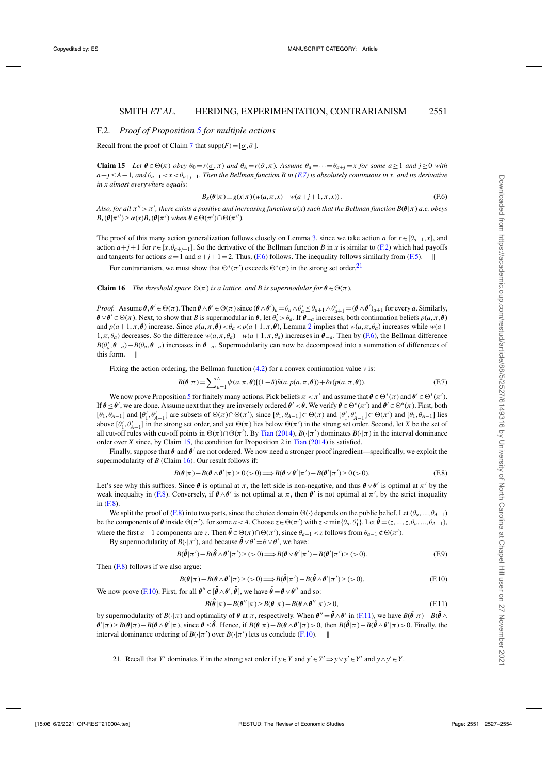#### <span id="page-24-0"></span>F.2. *Proof of Proposition [5](#page-14-0) for multiple actions*

Recall from the proof of Claim [7](#page-18-0) that  $\text{supp}(F) = [\sigma, \bar{\sigma}]$ .

**Claim 15** *Let*  $\theta \in \Theta(\pi)$  *obey*  $\theta_0 = r(\sigma, \pi)$  *and*  $\theta_A = r(\bar{\sigma}, \pi)$ *. Assume*  $\theta_a = \cdots = \theta_{a+j} = x$  *for some*  $a \ge 1$  *and*  $j \ge 0$  *with*  $a+j\leq A-1$ , and  $\theta_{a-1} < x < \theta_{a+j+1}$ . Then the Bellman function B in (F.7) is absolutely continuous in x, and its derivative *in x almost everywhere equals:*

$$
B_x(\theta|\pi) \equiv g(x|\pi) (w(a,\pi,x) - w(a+j+1,\pi,x)).
$$
 (F.6)

 $A$ lso, for all  $\pi'' > \pi'$ , there exists a positive and increasing function  $\alpha(x)$  such that the Bellman function  $B(\theta|\pi)$  a.e. obeys  $B_x(\theta | \pi'') \ge \alpha(x)B_x(\theta | \pi')$  when  $\theta \in \Theta(\pi') \cap \Theta(\pi'')$ .

The proof of this many action generalization follows closely on Lemma [3,](#page-23-0) since we take action *a* for  $r \in [\theta_{a-1}, x]$ , and action  $a+j+1$  for  $r \in [x, \theta_{a+j+1}]$ . So the derivative of the Bellman function *B* in *x* is similar to [\(F.2\)](#page-23-0) which had payoffs and tangents for actions  $a=1$  and  $a+j+1=2$ . Thus, (F.6) follows. The inequality follows similarly from [\(F.5\)](#page-23-0).

For contrarianism, we must show that  $\Theta^*(\pi')$  exceeds  $\Theta^*(\pi)$  in the strong set order.<sup>21</sup>

#### **Claim 16** *The threshold space*  $\Theta(\pi)$  *is a lattice, and B is supermodular for*  $\theta \in \Theta(\pi)$ *.*

*Proof.* Assume  $\theta$ ,  $\theta' \in \Theta(\pi)$ . Then  $\theta \wedge \theta' \in \Theta(\pi)$  since  $(\theta \wedge \theta')_a = \theta_a \wedge \theta'_a \leq \theta_{a+1} \wedge \theta'_{a+1} = (\theta \wedge \theta')_{a+1}$  for every *a*. Similarly,  $\theta \lor \theta' \in \Theta(\pi)$ . Next, to show that *B* is supermodular in  $\theta$ , let  $\theta'_a > \theta_a$ . If  $\theta_{-a}$  increases, both continuation beliefs  $p(a, \pi, \theta)$ and  $p(a+1, \pi, \theta)$  increase. Since  $p(a, \pi, \theta) < \theta_a < p(a+1, \pi, \theta)$ , Lemma [2](#page-23-0) implies that  $w(a, \pi, \theta_a)$  increases while  $w(a+1, \pi, \theta)$ 1,π, $θ_a$ ) decreases. So the difference  $w(a, π, θ_a) - w(a + 1, π, θ_a)$  increases in  $θ_{-a}$ . Then by (F.6), the Bellman difference  $B(\theta'_a, \theta_{-a}) - B(\theta_a, \theta_{-a})$  increases in  $\theta_{-a}$ . Supermodularity can now be decomposed into a summation of differences of this form.  $\parallel$ 

Fixing the action ordering, the Bellman function  $(4.2)$  for a convex continuation value  $\nu$  is:

$$
B(\theta|\pi) = \sum_{a=1}^{A} \psi(a,\pi,\theta)[(1-\delta)\bar{u}(a,p(a,\pi,\theta)) + \delta v(p(a,\pi,\theta)).
$$
 (F.7)

We now prove Proposition [5](#page-14-0) for finitely many actions. Pick beliefs  $\pi < \pi'$  and assume that  $\theta \in \Theta^*(\pi)$  and  $\theta' \in \Theta^*(\pi')$ . If  $\theta \leq \theta'$ , we are done. Assume next that they are inversely ordered  $\theta' < \theta$ . We verify  $\theta \in \Theta^*(\pi')$  and  $\theta' \in \Theta^*(\pi)$ . First, both [ $θ_1$ , $θ_{A-1}$ ] and  $[θ'_1, θ'_{A-1}]$  are subsets of  $Θ(π) ∩Θ(π')$ , since  $[θ_1, θ_{A-1}] ⊂Θ(π)$  and  $[θ'_1, θ'_{A-1}] ⊂Θ(π')$  and  $[θ_1, θ_{A-1}]$  lies above  $[\theta'_1, \theta'_{A-1}]$  in the strong set order, and yet  $\Theta(\pi)$  lies below  $\Theta(\pi')$  in the strong set order. Second, let *X* be the set of all cut-off rules with cut-off points in  $\Theta(\pi) \cap \Theta(\pi')$ . By [Tian](#page-27-0) [\(2014](#page-27-0)),  $B(\cdot | \pi')$  dominates  $B(\cdot | \pi)$  in the interval dominance order over *X* since, by Claim 15, the condition for Proposition 2 in [Tian](#page-27-0) [\(2014](#page-27-0)) is satisfied.

Finally, suppose that *θ* and *θ'* are not ordered. We now need a stronger proof ingredient—specifically, we exploit the supermodularity of *B* (Claim 16). Our result follows if:

$$
B(\theta|\pi) - B(\theta \wedge \theta'|\pi) \ge 0 \quad (>0) \Longrightarrow B(\theta \vee \theta'|\pi') - B(\theta'|\pi') \ge 0 \quad (>0).
$$
 (F.8)

Let's see why this suffices. Since  $\theta$  is optimal at  $\pi$ , the left side is non-negative, and thus  $\theta \vee \theta'$  is optimal at  $\pi'$  by the weak inequality in (F.8). Conversely, if  $\theta \wedge \theta'$  is not optimal at  $\pi$ , then  $\theta'$  is not optimal at  $\pi'$ , by the strict inequality in (F.8).

We split the proof of (F.8) into two parts, since the choice domain  $\Theta(\cdot)$  depends on the public belief. Let  $(\theta_a, ..., \theta_{A-1})$ be the components of  $\theta$  inside  $\Theta(\pi')$ , for some  $a < A$ . Choose  $z \in \Theta(\pi')$  with  $z < \min{\{\theta_a, \theta'_1\}}$ . Let  $\hat{\theta} = (z, ..., z, \theta_a, ..., \theta_{A-1})$ , where the first *a* − 1 components are *z*. Then  $\hat{\theta} \in \Theta(\pi) \cap \Theta(\pi')$ , since  $\theta_{a-1} < z$  follows from  $\theta_{a-1} \notin \Theta(\pi')$ .

By supermodularity of  $B(\cdot | \pi')$ , and because  $\hat{\theta} \vee \theta' = \theta \vee \theta'$ , we have:

$$
B(\hat{\theta}|\pi') - B(\hat{\theta} \wedge \theta'|\pi') \geq (0) \Longrightarrow B(\theta \vee \theta'|\pi') - B(\theta'|\pi') \geq (0).
$$
 (F.9)

Then (F.8) follows if we also argue:

$$
B(\theta|\pi) - B(\theta \wedge \theta'|\pi) \ge (0) \Longrightarrow B(\hat{\theta}|\pi') - B(\hat{\theta} \wedge \theta'|\pi') \ge (0).
$$
 (F.10)

We now prove (F.10). First, for all  $\theta'' \in [\hat{\theta} \wedge \theta', \hat{\theta}]$ , we have  $\hat{\theta} = \theta \vee \theta''$  and so:

$$
B(\hat{\theta}|\pi) - B(\theta''|\pi) \ge B(\theta|\pi) - B(\theta \wedge \theta''|\pi) \ge 0,
$$
\n(F.11)

by supermodularity of  $B(\cdot|\pi)$  and optimality of  $\theta$  at  $\pi$ , respectively. When  $\theta'' = \hat{\theta} \wedge \theta'$  in (F.11), we have  $B(\hat{\theta}|\pi) - B(\hat{\theta} \wedge \theta')$  $\theta'|\pi\rangle \ge B(\theta|\pi) - B(\theta \wedge \theta'|\pi)$ , since  $\theta \le \hat{\theta}$ . Hence, if  $B(\theta|\pi) - B(\theta \wedge \theta'|\pi) > 0$ , then  $B(\hat{\theta}|\pi) - B(\hat{\theta} \wedge \theta'|\pi) > 0$ . Finally, the interval dominance ordering of  $B(\cdot | \pi')$  over  $B(\cdot | \pi')$  lets us conclude (F.10).

21. Recall that *Y'* dominates *Y* in the strong set order if  $y \in Y$  and  $y' \in Y' \Rightarrow y \vee y' \in Y'$  and  $y \wedge y' \in Y$ .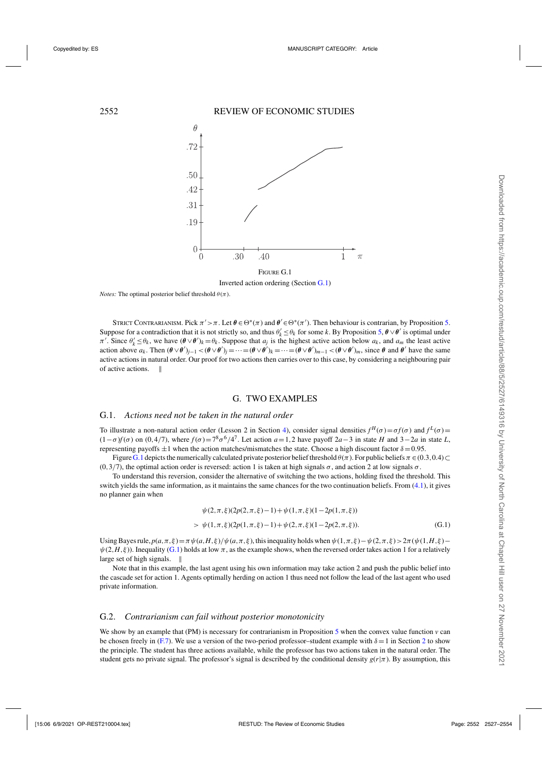<span id="page-25-0"></span>

*Notes:* The optimal posterior belief threshold  $\theta(\pi)$ .

STRICT CONTRARIANISM. Pick  $\pi' > \pi$ . Let  $\theta \in \Theta^*(\pi)$  and  $\theta' \in \Theta^*(\pi')$ . Then behaviour is contrarian, by Proposition [5.](#page-14-0) Suppose for a contradiction that it is not strictly so, and thus  $\theta'_k \leq \theta_k$  for some *k*. By Proposition [5,](#page-14-0)  $\theta \vee \theta'$  is optimal under  $\pi'$ . Since  $\theta'_k \leq \theta_k$ , we have  $(\theta \vee \theta')_k = \theta_k$ . Suppose that  $a_j$  is the highest active action below  $a_k$ , and  $a_m$  the least active action above  $a_k$ . Then  $(\theta \vee \theta')_{j-1} < (\theta \vee \theta')_j = \cdots = (\theta \vee \theta')_k = \cdots = (\theta \vee \theta')_{m-1} < (\theta \vee \theta')_m$ , since  $\theta$  and  $\theta'$  have the same active actions in natural order. Our proof for two actions then carries over to this case, by considering a neighbouring pair of active actions.

#### G. TWO EXAMPLES

#### G.1. *Actions need not be taken in the natural order*

To illustrate a non-natural action order (Lesson 2 in Section [4\)](#page-8-0), consider signal densities  $f^H(\sigma) = \sigma f(\sigma)$  and  $f^L(\sigma) =$  $(1-\sigma)f(\sigma)$  on  $(0,4/7)$ , where  $f(\sigma) = 7^8 \sigma^6/4^7$ . Let action  $a=1,2$  have payoff  $2a-3$  in state *H* and  $3-2a$  in state *L*, representing payoffs  $\pm 1$  when the action matches/mismatches the state. Choose a high discount factor  $\delta = 0.95$ .

Figure [G.1](#page-4-0) depicts the numerically calculated private posterior belief threshold  $\theta(\pi)$ . For public beliefs  $\pi \in (0.3,0.4) \subset$ (0,3/7), the optimal action order is reversed: action 1 is taken at high signals  $\sigma$ , and action 2 at low signals  $\sigma$ .

To understand this reversion, consider the alternative of switching the two actions, holding fixed the threshold. This switch yields the same information, as it maintains the same chances for the two continuation beliefs. From [\(4.1\)](#page-8-0), it gives no planner gain when

$$
\psi(2,\pi,\xi)(2p(2,\pi,\xi)-1)+\psi(1,\pi,\xi)(1-2p(1,\pi,\xi))
$$
  
> 
$$
\psi(1,\pi,\xi)(2p(1,\pi,\xi)-1)+\psi(2,\pi,\xi)(1-2p(2,\pi,\xi)).
$$
 (G.1)

Using Bayes rule,  $p(a,\pi,\xi) = \pi \psi(a,H,\xi)/\psi(a,\pi,\xi)$ , this inequality holds when  $\psi(1,\pi,\xi) - \psi(2,\pi,\xi) > 2\pi(\psi(1,H,\xi) - \psi(1,H,\xi))$  $\psi(2, H, \xi)$ ). Inequality (G.1) holds at low  $\pi$ , as the example shows, when the reversed order takes action 1 for a relatively large set of high signals.

Note that in this example, the last agent using his own information may take action 2 and push the public belief into the cascade set for action 1. Agents optimally herding on action 1 thus need not follow the lead of the last agent who used private information.

#### G.2. *Contrarianism can fail without posterior monotonicity*

We show by an example that (PM) is necessary for contrarianism in Proposition [5](#page-14-0) when the convex value function  $\nu$  can be chosen freely in [\(F.7\)](#page-24-0). We use a version of the two-period professor–student example with  $\delta = 1$  in Section [2](#page-3-0) to show the principle. The student has three actions available, while the professor has two actions taken in the natural order. The student gets no private signal. The professor's signal is described by the conditional density  $g(r|\pi)$ . By assumption, this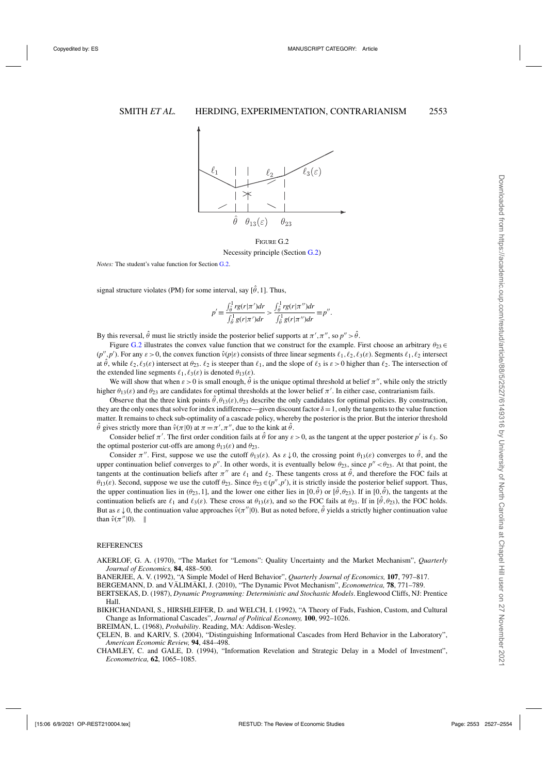<span id="page-26-0"></span>

Figure G.2 Necessity principle (Section [G.2\)](#page-25-0)

*Notes:* The student's value function for Section [G.2.](#page-25-0)

signal structure violates (PM) for some interval, say  $[\hat{\theta}, 1]$ . Thus,

$$
p' \equiv \frac{\int_{\hat{\theta}}^1 r g(r|\pi') dr}{\int_{\hat{\theta}}^1 g(r|\pi') dr} > \frac{\int_{\hat{\theta}}^1 r g(r|\pi'') dr}{\int_{\hat{\theta}}^1 g(r|\pi'') dr} \equiv p''.
$$

By this reversal,  $\hat{\theta}$  must lie strictly inside the posterior belief supports at  $\pi', \pi'',$  so  $p'' > \hat{\theta}$ .

Figure [G.2](#page-7-0) illustrates the convex value function that we construct for the example. First choose an arbitrary  $\theta_{23} \in$  $(p'', p')$ . For any  $\varepsilon > 0$ , the convex function  $\hat{v}(p|\varepsilon)$  consists of three linear segments  $\ell_1, \ell_2, \ell_3(\varepsilon)$ . Segments  $\ell_1, \ell_2$  intersect at  $\hat{\theta}$ , while  $\ell_2$ ,  $\ell_3(\varepsilon)$  intersect at  $\theta_{23}$ .  $\ell_2$  is steeper than  $\ell_1$ , and the slope of  $\ell_3$  is  $\varepsilon > 0$  higher than  $\ell_2$ . The intersection of the extended line segments  $\ell_1, \ell_3(\varepsilon)$  is denoted  $\theta_{13}(\varepsilon)$ .

We will show that when  $\varepsilon > 0$  is small enough,  $\hat{\theta}$  is the unique optimal threshold at belief  $\pi''$ , while only the strictly higher  $\theta_{13}(\varepsilon)$  and  $\theta_{23}$  are candidates for optimal thresholds at the lower belief  $\pi'$ . In either case, contrarianism fails.

Observe that the three kink points  $\hat{\theta}$ ,  $\theta_{13}(\varepsilon)$ ,  $\theta_{23}$  describe the only candidates for optimal policies. By construction, they are the only ones that solve for index indifference—given discount factor  $\delta = 1$ , only the tangents to the value function matter. It remains to check sub-optimality of a cascade policy, whereby the posterior is the prior. But the interior threshold  $\hat{\theta}$  gives strictly more than  $\hat{v}(\pi|0)$  at  $\pi = \pi', \pi''$ , due to the kink at  $\hat{\theta}$ .

Consider belief  $\pi'$ . The first order condition fails at  $\hat{\theta}$  for any  $\varepsilon > 0$ , as the tangent at the upper posterior  $p'$  is  $\ell_3$ . So the optimal posterior cut-offs are among  $\theta_{13}(\varepsilon)$  and  $\theta_{23}$ .

Consider  $\pi''$ . First, suppose we use the cutoff  $\theta_{13}(\varepsilon)$ . As  $\varepsilon \downarrow 0$ , the crossing point  $\theta_{13}(\varepsilon)$  converges to  $\hat{\theta}$ , and the upper continuation belief converges to  $p''$ . In other words, it is eventually below  $\theta_{23}$ , since  $p'' < \theta_{23}$ . At that point, the tangents at the continuation beliefs after  $\pi''$  are  $\ell_1$  and  $\ell_2$ . These tangents cross at  $\hat{\theta}$ , and therefore the FOC fails at  $\theta_{13}(\varepsilon)$ . Second, suppose we use the cutoff  $\theta_{23}$ . Since  $\theta_{23} \in (p'', p')$ , it is strictly inside the posterior belief support. Thus, the upper continuation lies in  $(\theta_{23},1]$ , and the lower one either lies in  $[0,\hat{\theta})$  or  $[\hat{\theta},\theta_{23})$ . If in  $[0,\hat{\theta})$ , the tangents at the continuation beliefs are  $\ell_1$  and  $\ell_3(\varepsilon)$ . These cross at  $\theta_{13}(\varepsilon)$ , and so the FOC fails at  $\theta_{23}$ . If in  $[\hat{\theta}, \theta_{23})$ , the FOC holds. But as  $\varepsilon \downarrow 0$ , the continuation value approaches  $\hat{v}(\pi' | 0)$ . But as noted before,  $\hat{\theta}$  yields a strictly higher continuation value than  $\hat{v}(\pi^{\prime\prime}|0)$ . ||

#### REFERENCES

AKERLOF, G. A. (1970), "The Market for "Lemons": Quality Uncertainty and the Market Mechanism", *Quarterly Journal of Economics,* **84**, 488–500.

BANERJEE, A. V. (1992), "A Simple Model of Herd Behavior", *Quarterly Journal of Economics,* **107**, 797–817.

BERGEMANN, D. and VÄLIMÄKI, J. (2010), "The Dynamic Pivot Mechanism", *Econometrica,* **78**, 771–789.

BERTSEKAS, D. (1987), *Dynamic Programming: Deterministic and Stochastic Models*. Englewood Cliffs, NJ: Prentice Hall.

BIKHCHANDANI, S., HIRSHLEIFER, D. and WELCH, I. (1992), "A Theory of Fads, Fashion, Custom, and Cultural Change as Informational Cascades", *Journal of Political Economy,* **100**, 992–1026.

BREIMAN, L. (1968), *Probability*. Reading, MA: Addison-Wesley.

ÇELEN, B. and KARIV, S. (2004), "Distinguishing Informational Cascades from Herd Behavior in the Laboratory", *American Economic Review,* **94**, 484–498.

CHAMLEY, C. and GALE, D. (1994), "Information Revelation and Strategic Delay in a Model of Investment", *Econometrica,* **62**, 1065–1085.